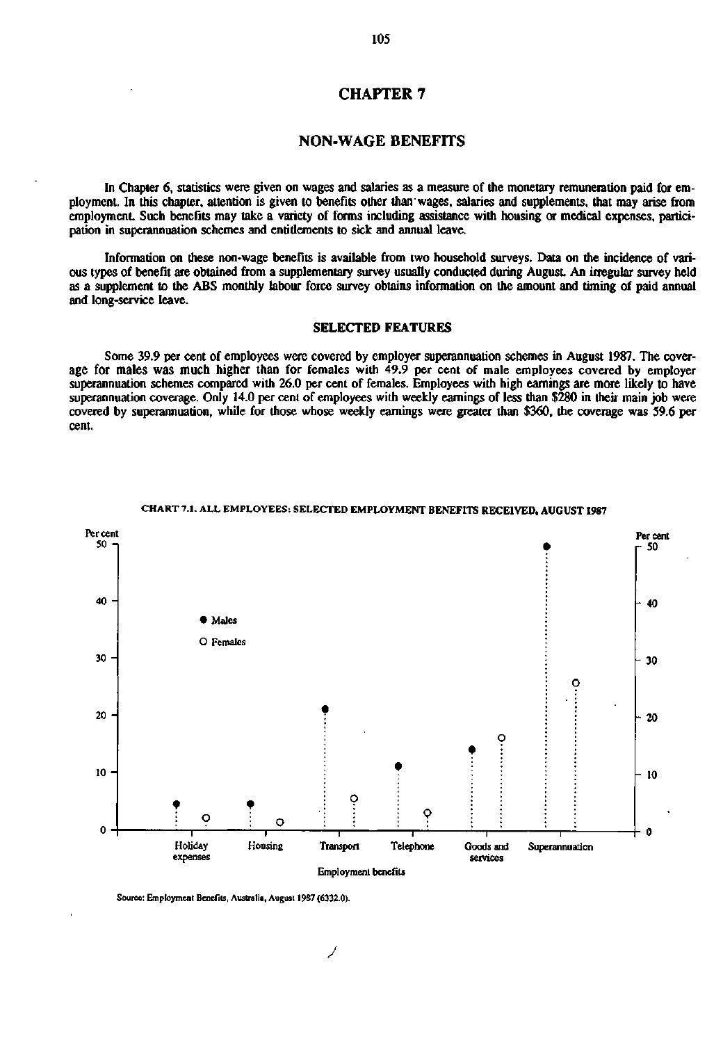# **CHAPTER 7**

# **NON-WAGE BENEFITS**

In Chapter 6, statistics were given on wages and salaries as a measure of the monetary remuneration paid for employment. In this chapter, attention is given to benefits other than'wages, salaries and supplements, that may arise from employment. Such benefits may take a variety of forms including assistance with housing or medical expenses, participation in superannuation schemes and entitlements to sick and annual leave.

Information on these non-wage benefits is available from two household surveys. Data on the incidence of various types of benefit are obtained from a supplementary survey usually conducted during August An irregular survey held as a supplement to the ABS monthly labour force survey obtains information on the amount and timing of paid annual and long-service leave.

#### SELECTED FEATURES

Some 39.9 per cent of employees were covered by employer superannuation schemes in August 1987. The coverage for males was much higher than for females with 49.9 per cent of male employees covered by employer superannuation schemes compared with 26.0 per cent of females. Employees with high earnings are more likely to have superannuation coverage. Only 14.0 per cent of employees with weekly earnings of less than \$280 in their main job were covered by superannuation, while for those whose weekly earnings were greater than \$360, the coverage was S9.6 per cent.



### **CHART 7.1.** ALL EMPLOYEES: SELECTED **EMPLOYMENT BENEFITS RECEIVED, AUGUST 1987**

Source: Employment Benefits, Australia, August 1987 (6332.0).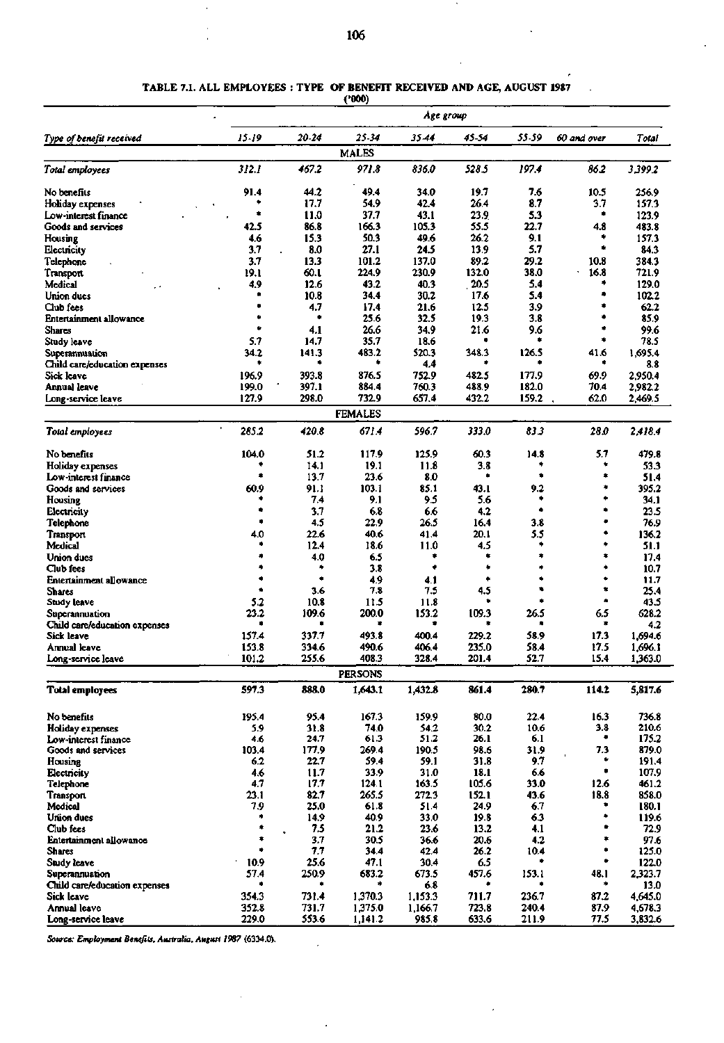$\bar{1}$ 

#### TABLE 7.1. ALL EMPLOYEES : TYPE OF BENEFIT RECEIVED AND AGE, AUGUST 1987

('000)

|                                                 |            |                  |                | Age group    |              |            |             |                |
|-------------------------------------------------|------------|------------------|----------------|--------------|--------------|------------|-------------|----------------|
| Type of benefit received                        | $15 - 19$  | 20-24            | 25-34          | 35.44        | 45-54        | 55-59      | 60 and over | Total          |
|                                                 |            |                  | <b>MALES</b>   |              |              |            |             |                |
| Total employees                                 | 312.1      | 467.2            | 971.8          | 836.0        | 528.5        | 197.4      | 862         | 3,399.2        |
| No benefits                                     | 91.4       | 44.2             | 49.4           | 34.0         | 19.7         | 7.6        | 10.5        | 256.9          |
| Holiday expenses                                |            | 17.7             | 54.9           | 42.4         | 26.4         | 8.7        | 3.7         | 157.3          |
| Low-interest finance                            | ۰          | 11.0             | 37.7           | 43.1         | 23.9         | 5.3        | ۰           | 123.9          |
| Goods and services                              | 42.5       | 86.8             | 166.3          | 105.3        | 55.5         | 22.7       | 4.8         | 483.8          |
| Housing                                         | 4.6        | 15.3             | 50.3           | 49.6         | 26.2         | 9.1        |             | 157.3          |
| Electricity                                     | 3.7        | 8.0              | 27.1           | 24.5         | 13.9         | 5.7        | ۰           | 84.3           |
| Telephone                                       | 3.7        | 13.3             | 101.2          | 137.0        | 89.2         | 29.2       | 10.8        | 384.3          |
| Transport                                       | 19.1       | 60.1             | 224.9          | 230.9        | 132.0        | 38.0       | 16.8<br>۰   | 721.9          |
| Medical                                         | 4.9        | 12.6             | 43.2           | 40.3         | 20.5<br>17.6 | 5.4<br>5.4 |             | 129.0          |
| Union dues                                      |            | 10.8<br>4.7      | 34.4<br>17.4   | 30.2<br>21.6 | 12.5         | 3.9        |             | 102.2<br>62.2  |
| Club fees<br>Entertainment allowance            |            |                  | 25.6           | 32.5         | 19.3         | 3.8        |             | 85.9           |
| <b>Shares</b>                                   |            | 4.1              | 26.6           | 34.9         | 21.6         | 9.6        | ۰           | 99.6           |
| Study leave                                     | 5.7        | 14.7             | 35.7           | 18.6         |              |            | ۰           | 78.5           |
| Superannuation                                  | 34.2       | 141.3            | 483.2          | 520.3        | 348.3        | 126.5      | 41.6        | 1,695.4        |
| Child care/education expenses                   |            |                  |                | 4.4          |              |            |             | 8.8            |
| Sick leave                                      | 196.9      | 393.8            | 876.5          | 752.9        | 482.5        | 177.9      | 69.9        | 2,950.4        |
| Annual leave                                    | 199.0      | 397.1            | 884.4          | 760.3        | 488.9        | 182.0      | 70.4        | 2,982.2        |
| Long-service leave                              | 127.9      | 298.0            | 732.9          | 657.4        | 432.2        | 159.2      | 62.0        | 2,469.5        |
|                                                 |            |                  | <b>FEMALES</b> |              |              |            |             |                |
| Total employees                                 | 285.2      | 420.8            | 671.4          | 596.7        | 333.0        | 83.3       | 28.O        | 2.418.4        |
| No benefits                                     | 104.0      | 51.2             | 117.9          | 125.9        | 60.3         | 14.8       | 5.7         | 479.8          |
| Holiday expenses                                |            | 14.1             | 19.1           | 11.8         | 3.8          | ٠          | ۰           | 53.3           |
| Low-interest finance                            |            | 13.7             | 23.6           | 8.0          |              |            | ۰           | 51.4           |
| Goods and services                              | 60.9       | 91.1             | 103.1          | 85.1         | 43.1         | 9.2        | ۰           | 395.2          |
| Housing                                         |            | 7.4              | 9.1            | 9.5          | 5.6          |            | ۰           | 34. I          |
| Electricity                                     | ٠          | 3.7              | 6.8            | 6.6          | 4.2          | ۰          | ٠           | 23.5           |
| Telephone                                       |            | 4.5              | 22.9           | 26.5         | 16.4         | 3.8        | ۰           | 76.9           |
| Transport                                       | 4.0        | 22.6             | 40.6           | 41.4         | 20.1         | 5.5        | ۰           | 136.2          |
| Medical                                         |            | 12.4             | 18.6           | 11.0         | 4.5          | ۰          | *<br>۰      | 51.1           |
| Union dues                                      |            | 4.0<br>۰         | 6.5            | ٠<br>٠       | ۰            |            | *           | 17.4           |
| Club fees                                       | ۰          | ٠                | 3.8<br>4.9     |              | ٠            |            | ۰           | 10.7<br>11.7   |
| <b>Entertainment allowance</b><br><b>Shares</b> | ٠          | 3.6              | 7.8            | 4.1<br>7.5   | 4.5          |            | ۰.          | 25.4           |
| Study leave                                     | 5.2        | 10.8             | 11.5           | 11.8         |              |            | ۰           | 43.5           |
| Superannuation                                  | 23.2       | 109.6            | 200.0          | 153.2        | 109.3        | 26.5       | 6.5         | 628.2          |
| Child care/education expenses                   | ٠          |                  | ۰              | ۰            |              |            | ۰           | 4.2            |
| Sick leave                                      | 157.4      | 337.7            | 493.8          | 400.4        | 229.2        | 58.9       | 17.3        | 1,694.6        |
| <b>Annual leave</b>                             | 153.8      | 334.6            | 490.6          | 406.4        | 235.0        | 58.4       | 17.5        | 1,696.1        |
| Long-service leave                              | 101.2      | 255.6            | 408.3          | 328.4        | 201.4        | 52.7       | 15.4        | 1,363.0        |
|                                                 |            |                  | <b>PERSONS</b> |              |              |            |             |                |
| <b>Total employees</b>                          | 597.3      | 888.0            | 1,643.1        | 1,432.8      | 861.4        | 280.7      | 114.2       | 5,817.6        |
| No benefits                                     | 195.4      | 95.4             | 167.3          | 159.9        | 80.0         | 22.4       | 16.3        | 736.8          |
| <b>Holiday expenses</b>                         | 5.9        | 31.8             | 74.0           | 54.2         | 30.2         | 10.6       | 3.8         | 210.6          |
| Low-interest finance                            | 4.6        | 24.7             | 61.3           | 51.2         | 26.1         | 6.1        | ۰           | 175.2          |
| Goods and services                              | 103.4      | 177.9            | 269.4          | 190.5        | 98.6         | 31.9       | 7.3<br>٠    | 879.0          |
| Housing                                         | 6.2<br>4.6 | 22.7<br>11.7     | 59.4<br>33.9   | 59.1<br>31.0 | 31.8<br>18.1 | 9.7<br>6.6 | ۰           | 191.4<br>107.9 |
| Electricity                                     | 4.7        | 17.7             | 124.1          | 163.5        | 105.6        | 33.0       | 12.6        | 461.2          |
| Telephone<br>Transport                          | 23.1       | 82.7             | 265.5          | 272.3        | 152.1        | 43.6       | 18.8        | 858.0          |
| Medical                                         | 7.9        | 25.0             | 61.8           | 51.4         | 24.9         | 6.7        |             | 180.1          |
| Union dues                                      | ۰          | 14.9             | 40.9           | 33.0         | 19.8         | 6.3        | ۰           | 119.6          |
| Club fees                                       | ۰          | 7.5<br>$\bullet$ | 21.2           | 23.6         | 13.2         | 4.1        | ۰           | 72.9           |
| Entertainment allowance                         | ۰          | 3.7              | 30.5           | 36.6         | 20.6         | 4.2        | ۰           | 97.6           |
| <b>Shares</b>                                   | ۰          | 7.7              | 34.4           | 42.4         | 26.2         | 10.4       | ۰           | 125.0          |
| Study leave                                     | 10.9       | 25.6             | 47.1           | 30.4         | 6.5          | ٠          | ۰           | 122.0          |
| Superannuation                                  | 57.4       | 250.9            | 683.2          | 673.5        | 457.6        | 153.1      | 48.1        | 2,323.7        |
| Child care/education expenses                   | ۰          | ۰                | ۰              | 6.8          | ۰            |            | ۰           | 13.0           |
| Sick leave                                      | 354.3      | 731.4            | 1,370.3        | 1,153.3      | 711.7        | 236.7      | 87.2        | 4,645.0        |
| <b>Annual leave</b>                             | 352.8      | 731.7            | 1,375.0        | 1,166.7      | 723.8        | 240.4      | 87.9        | 4,678.3        |
| Long-service leave                              | 229.0      | 553.6            | 1,141.2        | 985.8        | 633.6        | 211.9      | 77.5        | 3,832.6        |

 $\bar{z}$ 

J.

 $\ddot{\phantom{0}}$ 

*Source: Employment Benefits, Australia, August 1987* **(6334.0).**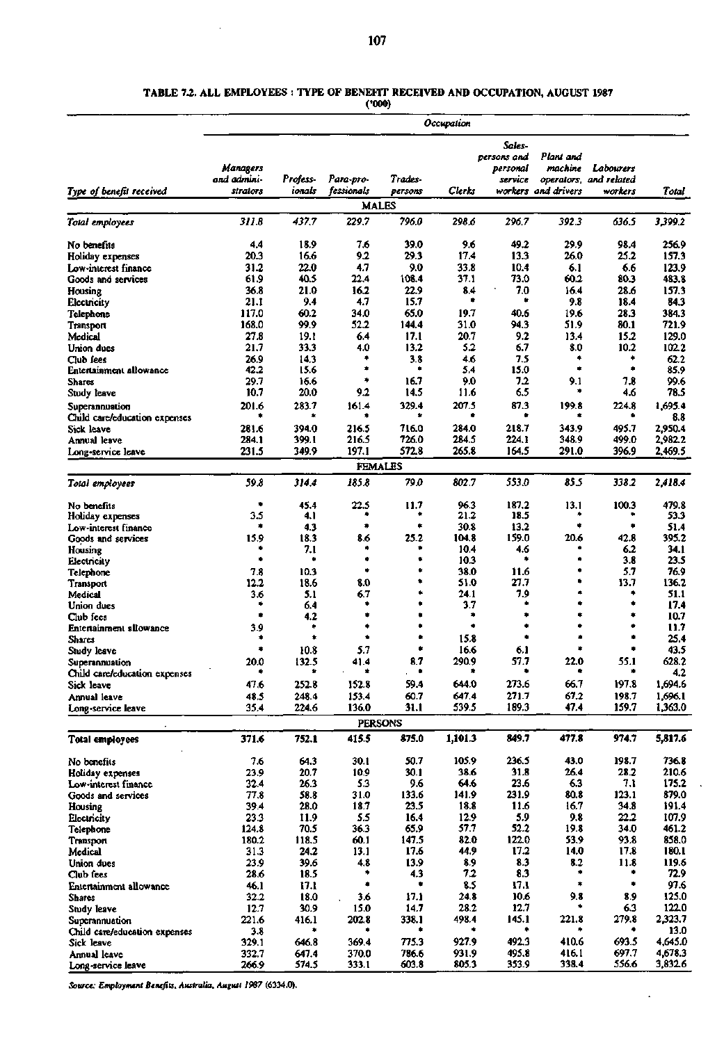$\hat{\mathcal{A}}$ 

#### **TABLE 7.2. ALL EMPLOYEES : TYPE OF BENEFIT RECEIVED AND OCCUPATION, AUGUST 1987**

**(•000)** 

| Sales-<br>Plant and<br>persons and<br>Managers<br>machine<br>Labourers<br>personal<br>and admini-<br>Profess-<br>Para-pro-<br>Trades-<br>service<br>operators, and related<br>Type of benefit received<br>fessionals<br>Clerks<br>workers and drivers<br>strators<br>ionals<br>persons<br>workers<br>Total<br><b>MALES</b><br>437.7<br>229.7<br>311.8<br>796.0<br>298.6<br>296.7<br>392.3<br>636.5<br>3,399.2<br>39.0<br>49.2<br>4.4<br>18.9<br>7.6<br>9.6<br>29.9<br>98.4<br>256.9<br>No benefits<br>9.2<br>29.3<br>20.3<br>16.6<br>17.4<br>13.3<br>26.0<br>25.2<br>157.3<br>Holiday expenses<br>22.0<br>4.7<br>9.0<br>33.8<br>31.2<br>10.4<br>6.1<br>6.6<br>123.9<br>Low-interest finance<br>73.0<br>61.9<br>40.5<br>22.4<br>108.4<br>37.1<br>60.2<br>483.8<br>80.3<br>Goods and services<br>7.0<br>21.0<br>16.2<br>22.9<br>8.4<br>16.4<br>28.6<br>157.3<br>36.8<br>Housing<br>٠<br>٠<br>9.4<br>4.7<br>15.7<br>9.8<br>18.4<br>21.1<br>84.3<br>Electricity<br>40.6<br>117.0<br>60.2<br>34.0<br>65.0<br>19.7<br>19.6<br>28.3<br>384.3<br>Telephone<br>99.9<br>52.2<br>144.4<br>31.0<br>94.3<br>51.9<br>721.9<br>168.0<br>80.1<br>Transport<br>27.8<br>19.1<br>6.4<br>17.1<br>20.7<br>9.2<br>13.4<br>15.2<br>129.0<br>Medical<br>33.3<br>13.2<br>5.2<br>8.0<br>10.2<br>21.7<br>4.0<br>6.7<br>102.2<br>Union dues<br>26.9<br>14.3<br>٠<br>3.8<br>4.6<br>7.5<br>٠<br>*<br>62.2<br>Club fees<br>٠<br>٠<br>85.9<br><b>Entertainment allowance</b><br>42.2<br>15.6<br>5.4<br>15.0<br>٠<br>16.7<br>9.0<br>72<br>9.1<br>7.8<br>99.6<br>29.7<br>16.6<br>Shares<br>10.7<br>20.0<br>9.2<br>14.5<br>6.5<br>78.5<br>11.6<br>۰<br>4.6<br>Study leave<br>329.4<br>207.5<br>87.3<br>1,695.4<br>201.6<br>283.7<br>161.4<br>199.8<br>224.8<br>Superannuation<br>蚃<br>۰<br>٠<br>8.8<br>Child care/education expenses<br>394.0<br>716.0<br>284.0<br>218.7<br>343.9<br>495.7<br>2,950.4<br>281.6<br>216.5<br>Sick leave<br>216.5<br>726.0<br>284.5<br>224.1<br>348.9<br>2,982.2<br>284.1<br>399.1<br>499.0<br>Annual leave<br>197.1<br>572.8<br>265.8<br>164.5<br>291.0<br>396.9<br>2,469.5<br>231.5<br>349.9<br>Long-service leave<br><b>FEMALES</b><br>802.7<br>553.0<br>855<br>59.8<br>314.4<br>185.8<br>79.0<br>338.2<br>2,418.4<br>13.1<br>100.3<br>479.8<br>45.4<br>22.5<br>11.7<br>96.3<br>187.2<br>No benefits<br>۰<br>3.5<br>21.2<br>4.1<br>18.5<br>٠<br>53.3<br>Holiday expenses<br>30.8<br>13.2<br>۰<br>4.3<br>۰<br>51.4<br>Low-interest finance<br>25.2<br>159.0<br>20.6<br>42.8<br>395.2<br>15.9<br>18.3<br>8.6<br>104.8<br>Goods and services<br>7.1<br>10.4<br>4.6<br>6.2<br>34.1<br>Housing<br>۰<br>۰<br>٠<br>10.3<br>۰<br>3.8<br>23.5<br>Electricity<br>38.0<br>5.7<br>76.9<br>7.8<br>10.3<br>申<br>11.6<br>Telephone<br>8.0<br>51.0<br>27.7<br>13.7<br>12.2<br>18.6<br>136.2<br>Transport<br>24.1<br>7.9<br>51.1<br>3.6<br>5.1<br>6.7<br>۰<br>Medical<br>۰<br>۰<br>3.7<br>۰<br>17.4<br>۰<br>6.4<br>Union dues<br>4.2<br>۰<br>٠<br>۰<br>۰<br>10.7<br>Club fees<br>۰<br>۰<br>٠<br>۰<br>11.7<br>3.9<br>۰<br><b>Entertainment allowance</b><br>۰<br>۰<br>15.8<br>۰<br>٠<br>25.4<br>Shares<br>۰<br>5.7<br>16.6<br>٠<br>43.5<br>10.8<br>6.1<br>Study leave<br>8.7<br>290.9<br>57.7<br>22.0<br>55.1<br>628.2<br>20.0<br>132.5<br>41.4<br>Superannuation<br>4.2<br>Uniid care/education expenses<br>273.6<br>1,694.6<br>47.6<br>252.8<br>152.8<br>59.4<br>644.0<br>66.7<br>197.8<br>Sick leave<br>67.2<br>647.4<br>271.7<br>1,696.1<br>48.5<br>248.4<br>153.4<br>60.7<br>198.7<br>Annual leave<br>189.3<br>47.4<br>136.0<br>31.1<br>539.5<br>159.7<br>1,363.0<br>35.4<br>224.6<br>Long-service leave<br><b>PERSONS</b><br>875.0<br>1,101.3<br>849.7<br>477.8<br>974.7<br>5,817.6<br>371.6<br>752.1<br>415.5<br><b>Total employees</b><br>7.6<br>50.7<br>105.9<br>236.5<br>198.7<br>736.8<br>64.3<br>30.1<br>43.0<br>No benefits<br>31.8<br>20.7<br>10.9<br>30.1<br>38.6<br>26.4<br>28.2<br>210.6<br>23.9<br>Holiday expenses<br>5.3<br>23.6<br>6.3<br>175.2<br>32.4<br>9.6<br>64.6<br>7.1<br>26.3<br>Low-interest finance<br>133.6<br>231.9<br>80.8<br>123.1<br>879.0<br>58.8<br>31.0<br>141.9<br>Goods and services<br>77.8<br>18.7<br>23.5<br>18.8<br>11.6<br>34.8<br>39.4<br>28.0<br>16.7<br>191.4<br>Housing<br>5.5<br>5.9<br>22.2<br>23.3<br>16.4<br>12.9<br>9.8<br>107.9<br>Electricity<br>11.9<br>52.2<br>36.3<br>65.9<br>57.7<br>34.0<br>124.8<br>70.5<br>19.8<br>461.2<br>Telephone<br>60.1<br>147.5<br>82.0<br>122.0<br>53.9<br>858.0<br>180.2<br>118.5<br>93.8<br>Transport<br>17.2<br>31.3<br>13.1<br>17.6<br>44.9<br>14.0<br>17.8<br>180.1<br>Medical<br>24.2<br>23.9<br>8.3<br>39.6<br>4.8<br>13.9<br>8.9<br>8.2<br>11.8<br>119.6<br>Union dues<br>7.2<br>8.3<br>72.9<br>28.6<br>18.5<br>4.3<br>Club fees<br>8.5<br>97.6<br>17.1<br>46.1<br>17.1<br><b>Entertainment allowance</b><br>24.8<br>10.6<br>9.8<br>8.9<br>125.0<br>32.2<br>18.0<br>3.6<br>17.1<br><b>Shares</b><br>12.7<br>122.0<br>12.7<br>30.9<br>14.7<br>28.2<br>6.3<br>15.0<br>Study leave<br>145.1<br>221.8<br>279.8<br>2,323.7<br>221.6<br>202.8<br>338.1<br>498.4<br>416.1<br>Superannuation<br>13.0<br>3.8<br>٠<br>Child care/education expenses<br>775.3<br>927.9<br>492.3<br>410.6<br>693.5<br>4,645.0<br>646.8<br>369.4<br>329.1<br>Sick leave<br>4,678.3<br>786.6<br>931.9<br>495.8<br>416.1<br>697.7<br>332.7<br>647.4<br>370.0<br>Annual leave<br>603.8<br>805.3<br>353.9<br>338.4<br>556.6<br>3,832.6<br>266.9<br>333.1<br>574.5<br>Long-service leave |                 |  |  | <b>Occupation</b> |  |  |
|-----------------------------------------------------------------------------------------------------------------------------------------------------------------------------------------------------------------------------------------------------------------------------------------------------------------------------------------------------------------------------------------------------------------------------------------------------------------------------------------------------------------------------------------------------------------------------------------------------------------------------------------------------------------------------------------------------------------------------------------------------------------------------------------------------------------------------------------------------------------------------------------------------------------------------------------------------------------------------------------------------------------------------------------------------------------------------------------------------------------------------------------------------------------------------------------------------------------------------------------------------------------------------------------------------------------------------------------------------------------------------------------------------------------------------------------------------------------------------------------------------------------------------------------------------------------------------------------------------------------------------------------------------------------------------------------------------------------------------------------------------------------------------------------------------------------------------------------------------------------------------------------------------------------------------------------------------------------------------------------------------------------------------------------------------------------------------------------------------------------------------------------------------------------------------------------------------------------------------------------------------------------------------------------------------------------------------------------------------------------------------------------------------------------------------------------------------------------------------------------------------------------------------------------------------------------------------------------------------------------------------------------------------------------------------------------------------------------------------------------------------------------------------------------------------------------------------------------------------------------------------------------------------------------------------------------------------------------------------------------------------------------------------------------------------------------------------------------------------------------------------------------------------------------------------------------------------------------------------------------------------------------------------------------------------------------------------------------------------------------------------------------------------------------------------------------------------------------------------------------------------------------------------------------------------------------------------------------------------------------------------------------------------------------------------------------------------------------------------------------------------------------------------------------------------------------------------------------------------------------------------------------------------------------------------------------------------------------------------------------------------------------------------------------------------------------------------------------------------------------------------------------------------------------------------------------------------------------------------------------------------------------------------------------------------------------------------------------------------------------------------------------------------------------------------------------------------------------------------------------------------------------------------------------------------------------------------------------------------------------------------------------------------------------------------------------------------------------------------------------------------------------------------------------------------------------------------------------------------------------------------------------------------------------------------------------------------------------------------------------------------------------------------------------------------------------------------------------------------------------------------------------------------------------------------------------------------------------------------------------------------------------------------------------------------------------------------------------------------------------------------------------------------------------------------------|-----------------|--|--|-------------------|--|--|
|                                                                                                                                                                                                                                                                                                                                                                                                                                                                                                                                                                                                                                                                                                                                                                                                                                                                                                                                                                                                                                                                                                                                                                                                                                                                                                                                                                                                                                                                                                                                                                                                                                                                                                                                                                                                                                                                                                                                                                                                                                                                                                                                                                                                                                                                                                                                                                                                                                                                                                                                                                                                                                                                                                                                                                                                                                                                                                                                                                                                                                                                                                                                                                                                                                                                                                                                                                                                                                                                                                                                                                                                                                                                                                                                                                                                                                                                                                                                                                                                                                                                                                                                                                                                                                                                                                                                                                                                                                                                                                                                                                                                                                                                                                                                                                                                                                                                                                                                                                                                                                                                                                                                                                                                                                                                                                                                                                                                                                   |                 |  |  |                   |  |  |
|                                                                                                                                                                                                                                                                                                                                                                                                                                                                                                                                                                                                                                                                                                                                                                                                                                                                                                                                                                                                                                                                                                                                                                                                                                                                                                                                                                                                                                                                                                                                                                                                                                                                                                                                                                                                                                                                                                                                                                                                                                                                                                                                                                                                                                                                                                                                                                                                                                                                                                                                                                                                                                                                                                                                                                                                                                                                                                                                                                                                                                                                                                                                                                                                                                                                                                                                                                                                                                                                                                                                                                                                                                                                                                                                                                                                                                                                                                                                                                                                                                                                                                                                                                                                                                                                                                                                                                                                                                                                                                                                                                                                                                                                                                                                                                                                                                                                                                                                                                                                                                                                                                                                                                                                                                                                                                                                                                                                                                   |                 |  |  |                   |  |  |
|                                                                                                                                                                                                                                                                                                                                                                                                                                                                                                                                                                                                                                                                                                                                                                                                                                                                                                                                                                                                                                                                                                                                                                                                                                                                                                                                                                                                                                                                                                                                                                                                                                                                                                                                                                                                                                                                                                                                                                                                                                                                                                                                                                                                                                                                                                                                                                                                                                                                                                                                                                                                                                                                                                                                                                                                                                                                                                                                                                                                                                                                                                                                                                                                                                                                                                                                                                                                                                                                                                                                                                                                                                                                                                                                                                                                                                                                                                                                                                                                                                                                                                                                                                                                                                                                                                                                                                                                                                                                                                                                                                                                                                                                                                                                                                                                                                                                                                                                                                                                                                                                                                                                                                                                                                                                                                                                                                                                                                   |                 |  |  |                   |  |  |
|                                                                                                                                                                                                                                                                                                                                                                                                                                                                                                                                                                                                                                                                                                                                                                                                                                                                                                                                                                                                                                                                                                                                                                                                                                                                                                                                                                                                                                                                                                                                                                                                                                                                                                                                                                                                                                                                                                                                                                                                                                                                                                                                                                                                                                                                                                                                                                                                                                                                                                                                                                                                                                                                                                                                                                                                                                                                                                                                                                                                                                                                                                                                                                                                                                                                                                                                                                                                                                                                                                                                                                                                                                                                                                                                                                                                                                                                                                                                                                                                                                                                                                                                                                                                                                                                                                                                                                                                                                                                                                                                                                                                                                                                                                                                                                                                                                                                                                                                                                                                                                                                                                                                                                                                                                                                                                                                                                                                                                   |                 |  |  |                   |  |  |
|                                                                                                                                                                                                                                                                                                                                                                                                                                                                                                                                                                                                                                                                                                                                                                                                                                                                                                                                                                                                                                                                                                                                                                                                                                                                                                                                                                                                                                                                                                                                                                                                                                                                                                                                                                                                                                                                                                                                                                                                                                                                                                                                                                                                                                                                                                                                                                                                                                                                                                                                                                                                                                                                                                                                                                                                                                                                                                                                                                                                                                                                                                                                                                                                                                                                                                                                                                                                                                                                                                                                                                                                                                                                                                                                                                                                                                                                                                                                                                                                                                                                                                                                                                                                                                                                                                                                                                                                                                                                                                                                                                                                                                                                                                                                                                                                                                                                                                                                                                                                                                                                                                                                                                                                                                                                                                                                                                                                                                   |                 |  |  |                   |  |  |
|                                                                                                                                                                                                                                                                                                                                                                                                                                                                                                                                                                                                                                                                                                                                                                                                                                                                                                                                                                                                                                                                                                                                                                                                                                                                                                                                                                                                                                                                                                                                                                                                                                                                                                                                                                                                                                                                                                                                                                                                                                                                                                                                                                                                                                                                                                                                                                                                                                                                                                                                                                                                                                                                                                                                                                                                                                                                                                                                                                                                                                                                                                                                                                                                                                                                                                                                                                                                                                                                                                                                                                                                                                                                                                                                                                                                                                                                                                                                                                                                                                                                                                                                                                                                                                                                                                                                                                                                                                                                                                                                                                                                                                                                                                                                                                                                                                                                                                                                                                                                                                                                                                                                                                                                                                                                                                                                                                                                                                   |                 |  |  |                   |  |  |
|                                                                                                                                                                                                                                                                                                                                                                                                                                                                                                                                                                                                                                                                                                                                                                                                                                                                                                                                                                                                                                                                                                                                                                                                                                                                                                                                                                                                                                                                                                                                                                                                                                                                                                                                                                                                                                                                                                                                                                                                                                                                                                                                                                                                                                                                                                                                                                                                                                                                                                                                                                                                                                                                                                                                                                                                                                                                                                                                                                                                                                                                                                                                                                                                                                                                                                                                                                                                                                                                                                                                                                                                                                                                                                                                                                                                                                                                                                                                                                                                                                                                                                                                                                                                                                                                                                                                                                                                                                                                                                                                                                                                                                                                                                                                                                                                                                                                                                                                                                                                                                                                                                                                                                                                                                                                                                                                                                                                                                   | Total employees |  |  |                   |  |  |
|                                                                                                                                                                                                                                                                                                                                                                                                                                                                                                                                                                                                                                                                                                                                                                                                                                                                                                                                                                                                                                                                                                                                                                                                                                                                                                                                                                                                                                                                                                                                                                                                                                                                                                                                                                                                                                                                                                                                                                                                                                                                                                                                                                                                                                                                                                                                                                                                                                                                                                                                                                                                                                                                                                                                                                                                                                                                                                                                                                                                                                                                                                                                                                                                                                                                                                                                                                                                                                                                                                                                                                                                                                                                                                                                                                                                                                                                                                                                                                                                                                                                                                                                                                                                                                                                                                                                                                                                                                                                                                                                                                                                                                                                                                                                                                                                                                                                                                                                                                                                                                                                                                                                                                                                                                                                                                                                                                                                                                   |                 |  |  |                   |  |  |
|                                                                                                                                                                                                                                                                                                                                                                                                                                                                                                                                                                                                                                                                                                                                                                                                                                                                                                                                                                                                                                                                                                                                                                                                                                                                                                                                                                                                                                                                                                                                                                                                                                                                                                                                                                                                                                                                                                                                                                                                                                                                                                                                                                                                                                                                                                                                                                                                                                                                                                                                                                                                                                                                                                                                                                                                                                                                                                                                                                                                                                                                                                                                                                                                                                                                                                                                                                                                                                                                                                                                                                                                                                                                                                                                                                                                                                                                                                                                                                                                                                                                                                                                                                                                                                                                                                                                                                                                                                                                                                                                                                                                                                                                                                                                                                                                                                                                                                                                                                                                                                                                                                                                                                                                                                                                                                                                                                                                                                   |                 |  |  |                   |  |  |
|                                                                                                                                                                                                                                                                                                                                                                                                                                                                                                                                                                                                                                                                                                                                                                                                                                                                                                                                                                                                                                                                                                                                                                                                                                                                                                                                                                                                                                                                                                                                                                                                                                                                                                                                                                                                                                                                                                                                                                                                                                                                                                                                                                                                                                                                                                                                                                                                                                                                                                                                                                                                                                                                                                                                                                                                                                                                                                                                                                                                                                                                                                                                                                                                                                                                                                                                                                                                                                                                                                                                                                                                                                                                                                                                                                                                                                                                                                                                                                                                                                                                                                                                                                                                                                                                                                                                                                                                                                                                                                                                                                                                                                                                                                                                                                                                                                                                                                                                                                                                                                                                                                                                                                                                                                                                                                                                                                                                                                   |                 |  |  |                   |  |  |
|                                                                                                                                                                                                                                                                                                                                                                                                                                                                                                                                                                                                                                                                                                                                                                                                                                                                                                                                                                                                                                                                                                                                                                                                                                                                                                                                                                                                                                                                                                                                                                                                                                                                                                                                                                                                                                                                                                                                                                                                                                                                                                                                                                                                                                                                                                                                                                                                                                                                                                                                                                                                                                                                                                                                                                                                                                                                                                                                                                                                                                                                                                                                                                                                                                                                                                                                                                                                                                                                                                                                                                                                                                                                                                                                                                                                                                                                                                                                                                                                                                                                                                                                                                                                                                                                                                                                                                                                                                                                                                                                                                                                                                                                                                                                                                                                                                                                                                                                                                                                                                                                                                                                                                                                                                                                                                                                                                                                                                   |                 |  |  |                   |  |  |
|                                                                                                                                                                                                                                                                                                                                                                                                                                                                                                                                                                                                                                                                                                                                                                                                                                                                                                                                                                                                                                                                                                                                                                                                                                                                                                                                                                                                                                                                                                                                                                                                                                                                                                                                                                                                                                                                                                                                                                                                                                                                                                                                                                                                                                                                                                                                                                                                                                                                                                                                                                                                                                                                                                                                                                                                                                                                                                                                                                                                                                                                                                                                                                                                                                                                                                                                                                                                                                                                                                                                                                                                                                                                                                                                                                                                                                                                                                                                                                                                                                                                                                                                                                                                                                                                                                                                                                                                                                                                                                                                                                                                                                                                                                                                                                                                                                                                                                                                                                                                                                                                                                                                                                                                                                                                                                                                                                                                                                   |                 |  |  |                   |  |  |
|                                                                                                                                                                                                                                                                                                                                                                                                                                                                                                                                                                                                                                                                                                                                                                                                                                                                                                                                                                                                                                                                                                                                                                                                                                                                                                                                                                                                                                                                                                                                                                                                                                                                                                                                                                                                                                                                                                                                                                                                                                                                                                                                                                                                                                                                                                                                                                                                                                                                                                                                                                                                                                                                                                                                                                                                                                                                                                                                                                                                                                                                                                                                                                                                                                                                                                                                                                                                                                                                                                                                                                                                                                                                                                                                                                                                                                                                                                                                                                                                                                                                                                                                                                                                                                                                                                                                                                                                                                                                                                                                                                                                                                                                                                                                                                                                                                                                                                                                                                                                                                                                                                                                                                                                                                                                                                                                                                                                                                   |                 |  |  |                   |  |  |
|                                                                                                                                                                                                                                                                                                                                                                                                                                                                                                                                                                                                                                                                                                                                                                                                                                                                                                                                                                                                                                                                                                                                                                                                                                                                                                                                                                                                                                                                                                                                                                                                                                                                                                                                                                                                                                                                                                                                                                                                                                                                                                                                                                                                                                                                                                                                                                                                                                                                                                                                                                                                                                                                                                                                                                                                                                                                                                                                                                                                                                                                                                                                                                                                                                                                                                                                                                                                                                                                                                                                                                                                                                                                                                                                                                                                                                                                                                                                                                                                                                                                                                                                                                                                                                                                                                                                                                                                                                                                                                                                                                                                                                                                                                                                                                                                                                                                                                                                                                                                                                                                                                                                                                                                                                                                                                                                                                                                                                   |                 |  |  |                   |  |  |
|                                                                                                                                                                                                                                                                                                                                                                                                                                                                                                                                                                                                                                                                                                                                                                                                                                                                                                                                                                                                                                                                                                                                                                                                                                                                                                                                                                                                                                                                                                                                                                                                                                                                                                                                                                                                                                                                                                                                                                                                                                                                                                                                                                                                                                                                                                                                                                                                                                                                                                                                                                                                                                                                                                                                                                                                                                                                                                                                                                                                                                                                                                                                                                                                                                                                                                                                                                                                                                                                                                                                                                                                                                                                                                                                                                                                                                                                                                                                                                                                                                                                                                                                                                                                                                                                                                                                                                                                                                                                                                                                                                                                                                                                                                                                                                                                                                                                                                                                                                                                                                                                                                                                                                                                                                                                                                                                                                                                                                   |                 |  |  |                   |  |  |
|                                                                                                                                                                                                                                                                                                                                                                                                                                                                                                                                                                                                                                                                                                                                                                                                                                                                                                                                                                                                                                                                                                                                                                                                                                                                                                                                                                                                                                                                                                                                                                                                                                                                                                                                                                                                                                                                                                                                                                                                                                                                                                                                                                                                                                                                                                                                                                                                                                                                                                                                                                                                                                                                                                                                                                                                                                                                                                                                                                                                                                                                                                                                                                                                                                                                                                                                                                                                                                                                                                                                                                                                                                                                                                                                                                                                                                                                                                                                                                                                                                                                                                                                                                                                                                                                                                                                                                                                                                                                                                                                                                                                                                                                                                                                                                                                                                                                                                                                                                                                                                                                                                                                                                                                                                                                                                                                                                                                                                   |                 |  |  |                   |  |  |
|                                                                                                                                                                                                                                                                                                                                                                                                                                                                                                                                                                                                                                                                                                                                                                                                                                                                                                                                                                                                                                                                                                                                                                                                                                                                                                                                                                                                                                                                                                                                                                                                                                                                                                                                                                                                                                                                                                                                                                                                                                                                                                                                                                                                                                                                                                                                                                                                                                                                                                                                                                                                                                                                                                                                                                                                                                                                                                                                                                                                                                                                                                                                                                                                                                                                                                                                                                                                                                                                                                                                                                                                                                                                                                                                                                                                                                                                                                                                                                                                                                                                                                                                                                                                                                                                                                                                                                                                                                                                                                                                                                                                                                                                                                                                                                                                                                                                                                                                                                                                                                                                                                                                                                                                                                                                                                                                                                                                                                   |                 |  |  |                   |  |  |
|                                                                                                                                                                                                                                                                                                                                                                                                                                                                                                                                                                                                                                                                                                                                                                                                                                                                                                                                                                                                                                                                                                                                                                                                                                                                                                                                                                                                                                                                                                                                                                                                                                                                                                                                                                                                                                                                                                                                                                                                                                                                                                                                                                                                                                                                                                                                                                                                                                                                                                                                                                                                                                                                                                                                                                                                                                                                                                                                                                                                                                                                                                                                                                                                                                                                                                                                                                                                                                                                                                                                                                                                                                                                                                                                                                                                                                                                                                                                                                                                                                                                                                                                                                                                                                                                                                                                                                                                                                                                                                                                                                                                                                                                                                                                                                                                                                                                                                                                                                                                                                                                                                                                                                                                                                                                                                                                                                                                                                   |                 |  |  |                   |  |  |
|                                                                                                                                                                                                                                                                                                                                                                                                                                                                                                                                                                                                                                                                                                                                                                                                                                                                                                                                                                                                                                                                                                                                                                                                                                                                                                                                                                                                                                                                                                                                                                                                                                                                                                                                                                                                                                                                                                                                                                                                                                                                                                                                                                                                                                                                                                                                                                                                                                                                                                                                                                                                                                                                                                                                                                                                                                                                                                                                                                                                                                                                                                                                                                                                                                                                                                                                                                                                                                                                                                                                                                                                                                                                                                                                                                                                                                                                                                                                                                                                                                                                                                                                                                                                                                                                                                                                                                                                                                                                                                                                                                                                                                                                                                                                                                                                                                                                                                                                                                                                                                                                                                                                                                                                                                                                                                                                                                                                                                   |                 |  |  |                   |  |  |
|                                                                                                                                                                                                                                                                                                                                                                                                                                                                                                                                                                                                                                                                                                                                                                                                                                                                                                                                                                                                                                                                                                                                                                                                                                                                                                                                                                                                                                                                                                                                                                                                                                                                                                                                                                                                                                                                                                                                                                                                                                                                                                                                                                                                                                                                                                                                                                                                                                                                                                                                                                                                                                                                                                                                                                                                                                                                                                                                                                                                                                                                                                                                                                                                                                                                                                                                                                                                                                                                                                                                                                                                                                                                                                                                                                                                                                                                                                                                                                                                                                                                                                                                                                                                                                                                                                                                                                                                                                                                                                                                                                                                                                                                                                                                                                                                                                                                                                                                                                                                                                                                                                                                                                                                                                                                                                                                                                                                                                   |                 |  |  |                   |  |  |
|                                                                                                                                                                                                                                                                                                                                                                                                                                                                                                                                                                                                                                                                                                                                                                                                                                                                                                                                                                                                                                                                                                                                                                                                                                                                                                                                                                                                                                                                                                                                                                                                                                                                                                                                                                                                                                                                                                                                                                                                                                                                                                                                                                                                                                                                                                                                                                                                                                                                                                                                                                                                                                                                                                                                                                                                                                                                                                                                                                                                                                                                                                                                                                                                                                                                                                                                                                                                                                                                                                                                                                                                                                                                                                                                                                                                                                                                                                                                                                                                                                                                                                                                                                                                                                                                                                                                                                                                                                                                                                                                                                                                                                                                                                                                                                                                                                                                                                                                                                                                                                                                                                                                                                                                                                                                                                                                                                                                                                   |                 |  |  |                   |  |  |
|                                                                                                                                                                                                                                                                                                                                                                                                                                                                                                                                                                                                                                                                                                                                                                                                                                                                                                                                                                                                                                                                                                                                                                                                                                                                                                                                                                                                                                                                                                                                                                                                                                                                                                                                                                                                                                                                                                                                                                                                                                                                                                                                                                                                                                                                                                                                                                                                                                                                                                                                                                                                                                                                                                                                                                                                                                                                                                                                                                                                                                                                                                                                                                                                                                                                                                                                                                                                                                                                                                                                                                                                                                                                                                                                                                                                                                                                                                                                                                                                                                                                                                                                                                                                                                                                                                                                                                                                                                                                                                                                                                                                                                                                                                                                                                                                                                                                                                                                                                                                                                                                                                                                                                                                                                                                                                                                                                                                                                   |                 |  |  |                   |  |  |
|                                                                                                                                                                                                                                                                                                                                                                                                                                                                                                                                                                                                                                                                                                                                                                                                                                                                                                                                                                                                                                                                                                                                                                                                                                                                                                                                                                                                                                                                                                                                                                                                                                                                                                                                                                                                                                                                                                                                                                                                                                                                                                                                                                                                                                                                                                                                                                                                                                                                                                                                                                                                                                                                                                                                                                                                                                                                                                                                                                                                                                                                                                                                                                                                                                                                                                                                                                                                                                                                                                                                                                                                                                                                                                                                                                                                                                                                                                                                                                                                                                                                                                                                                                                                                                                                                                                                                                                                                                                                                                                                                                                                                                                                                                                                                                                                                                                                                                                                                                                                                                                                                                                                                                                                                                                                                                                                                                                                                                   |                 |  |  |                   |  |  |
|                                                                                                                                                                                                                                                                                                                                                                                                                                                                                                                                                                                                                                                                                                                                                                                                                                                                                                                                                                                                                                                                                                                                                                                                                                                                                                                                                                                                                                                                                                                                                                                                                                                                                                                                                                                                                                                                                                                                                                                                                                                                                                                                                                                                                                                                                                                                                                                                                                                                                                                                                                                                                                                                                                                                                                                                                                                                                                                                                                                                                                                                                                                                                                                                                                                                                                                                                                                                                                                                                                                                                                                                                                                                                                                                                                                                                                                                                                                                                                                                                                                                                                                                                                                                                                                                                                                                                                                                                                                                                                                                                                                                                                                                                                                                                                                                                                                                                                                                                                                                                                                                                                                                                                                                                                                                                                                                                                                                                                   |                 |  |  |                   |  |  |
|                                                                                                                                                                                                                                                                                                                                                                                                                                                                                                                                                                                                                                                                                                                                                                                                                                                                                                                                                                                                                                                                                                                                                                                                                                                                                                                                                                                                                                                                                                                                                                                                                                                                                                                                                                                                                                                                                                                                                                                                                                                                                                                                                                                                                                                                                                                                                                                                                                                                                                                                                                                                                                                                                                                                                                                                                                                                                                                                                                                                                                                                                                                                                                                                                                                                                                                                                                                                                                                                                                                                                                                                                                                                                                                                                                                                                                                                                                                                                                                                                                                                                                                                                                                                                                                                                                                                                                                                                                                                                                                                                                                                                                                                                                                                                                                                                                                                                                                                                                                                                                                                                                                                                                                                                                                                                                                                                                                                                                   |                 |  |  |                   |  |  |
|                                                                                                                                                                                                                                                                                                                                                                                                                                                                                                                                                                                                                                                                                                                                                                                                                                                                                                                                                                                                                                                                                                                                                                                                                                                                                                                                                                                                                                                                                                                                                                                                                                                                                                                                                                                                                                                                                                                                                                                                                                                                                                                                                                                                                                                                                                                                                                                                                                                                                                                                                                                                                                                                                                                                                                                                                                                                                                                                                                                                                                                                                                                                                                                                                                                                                                                                                                                                                                                                                                                                                                                                                                                                                                                                                                                                                                                                                                                                                                                                                                                                                                                                                                                                                                                                                                                                                                                                                                                                                                                                                                                                                                                                                                                                                                                                                                                                                                                                                                                                                                                                                                                                                                                                                                                                                                                                                                                                                                   | Total employees |  |  |                   |  |  |
|                                                                                                                                                                                                                                                                                                                                                                                                                                                                                                                                                                                                                                                                                                                                                                                                                                                                                                                                                                                                                                                                                                                                                                                                                                                                                                                                                                                                                                                                                                                                                                                                                                                                                                                                                                                                                                                                                                                                                                                                                                                                                                                                                                                                                                                                                                                                                                                                                                                                                                                                                                                                                                                                                                                                                                                                                                                                                                                                                                                                                                                                                                                                                                                                                                                                                                                                                                                                                                                                                                                                                                                                                                                                                                                                                                                                                                                                                                                                                                                                                                                                                                                                                                                                                                                                                                                                                                                                                                                                                                                                                                                                                                                                                                                                                                                                                                                                                                                                                                                                                                                                                                                                                                                                                                                                                                                                                                                                                                   |                 |  |  |                   |  |  |
|                                                                                                                                                                                                                                                                                                                                                                                                                                                                                                                                                                                                                                                                                                                                                                                                                                                                                                                                                                                                                                                                                                                                                                                                                                                                                                                                                                                                                                                                                                                                                                                                                                                                                                                                                                                                                                                                                                                                                                                                                                                                                                                                                                                                                                                                                                                                                                                                                                                                                                                                                                                                                                                                                                                                                                                                                                                                                                                                                                                                                                                                                                                                                                                                                                                                                                                                                                                                                                                                                                                                                                                                                                                                                                                                                                                                                                                                                                                                                                                                                                                                                                                                                                                                                                                                                                                                                                                                                                                                                                                                                                                                                                                                                                                                                                                                                                                                                                                                                                                                                                                                                                                                                                                                                                                                                                                                                                                                                                   |                 |  |  |                   |  |  |
|                                                                                                                                                                                                                                                                                                                                                                                                                                                                                                                                                                                                                                                                                                                                                                                                                                                                                                                                                                                                                                                                                                                                                                                                                                                                                                                                                                                                                                                                                                                                                                                                                                                                                                                                                                                                                                                                                                                                                                                                                                                                                                                                                                                                                                                                                                                                                                                                                                                                                                                                                                                                                                                                                                                                                                                                                                                                                                                                                                                                                                                                                                                                                                                                                                                                                                                                                                                                                                                                                                                                                                                                                                                                                                                                                                                                                                                                                                                                                                                                                                                                                                                                                                                                                                                                                                                                                                                                                                                                                                                                                                                                                                                                                                                                                                                                                                                                                                                                                                                                                                                                                                                                                                                                                                                                                                                                                                                                                                   |                 |  |  |                   |  |  |
|                                                                                                                                                                                                                                                                                                                                                                                                                                                                                                                                                                                                                                                                                                                                                                                                                                                                                                                                                                                                                                                                                                                                                                                                                                                                                                                                                                                                                                                                                                                                                                                                                                                                                                                                                                                                                                                                                                                                                                                                                                                                                                                                                                                                                                                                                                                                                                                                                                                                                                                                                                                                                                                                                                                                                                                                                                                                                                                                                                                                                                                                                                                                                                                                                                                                                                                                                                                                                                                                                                                                                                                                                                                                                                                                                                                                                                                                                                                                                                                                                                                                                                                                                                                                                                                                                                                                                                                                                                                                                                                                                                                                                                                                                                                                                                                                                                                                                                                                                                                                                                                                                                                                                                                                                                                                                                                                                                                                                                   |                 |  |  |                   |  |  |
|                                                                                                                                                                                                                                                                                                                                                                                                                                                                                                                                                                                                                                                                                                                                                                                                                                                                                                                                                                                                                                                                                                                                                                                                                                                                                                                                                                                                                                                                                                                                                                                                                                                                                                                                                                                                                                                                                                                                                                                                                                                                                                                                                                                                                                                                                                                                                                                                                                                                                                                                                                                                                                                                                                                                                                                                                                                                                                                                                                                                                                                                                                                                                                                                                                                                                                                                                                                                                                                                                                                                                                                                                                                                                                                                                                                                                                                                                                                                                                                                                                                                                                                                                                                                                                                                                                                                                                                                                                                                                                                                                                                                                                                                                                                                                                                                                                                                                                                                                                                                                                                                                                                                                                                                                                                                                                                                                                                                                                   |                 |  |  |                   |  |  |
|                                                                                                                                                                                                                                                                                                                                                                                                                                                                                                                                                                                                                                                                                                                                                                                                                                                                                                                                                                                                                                                                                                                                                                                                                                                                                                                                                                                                                                                                                                                                                                                                                                                                                                                                                                                                                                                                                                                                                                                                                                                                                                                                                                                                                                                                                                                                                                                                                                                                                                                                                                                                                                                                                                                                                                                                                                                                                                                                                                                                                                                                                                                                                                                                                                                                                                                                                                                                                                                                                                                                                                                                                                                                                                                                                                                                                                                                                                                                                                                                                                                                                                                                                                                                                                                                                                                                                                                                                                                                                                                                                                                                                                                                                                                                                                                                                                                                                                                                                                                                                                                                                                                                                                                                                                                                                                                                                                                                                                   |                 |  |  |                   |  |  |
|                                                                                                                                                                                                                                                                                                                                                                                                                                                                                                                                                                                                                                                                                                                                                                                                                                                                                                                                                                                                                                                                                                                                                                                                                                                                                                                                                                                                                                                                                                                                                                                                                                                                                                                                                                                                                                                                                                                                                                                                                                                                                                                                                                                                                                                                                                                                                                                                                                                                                                                                                                                                                                                                                                                                                                                                                                                                                                                                                                                                                                                                                                                                                                                                                                                                                                                                                                                                                                                                                                                                                                                                                                                                                                                                                                                                                                                                                                                                                                                                                                                                                                                                                                                                                                                                                                                                                                                                                                                                                                                                                                                                                                                                                                                                                                                                                                                                                                                                                                                                                                                                                                                                                                                                                                                                                                                                                                                                                                   |                 |  |  |                   |  |  |
|                                                                                                                                                                                                                                                                                                                                                                                                                                                                                                                                                                                                                                                                                                                                                                                                                                                                                                                                                                                                                                                                                                                                                                                                                                                                                                                                                                                                                                                                                                                                                                                                                                                                                                                                                                                                                                                                                                                                                                                                                                                                                                                                                                                                                                                                                                                                                                                                                                                                                                                                                                                                                                                                                                                                                                                                                                                                                                                                                                                                                                                                                                                                                                                                                                                                                                                                                                                                                                                                                                                                                                                                                                                                                                                                                                                                                                                                                                                                                                                                                                                                                                                                                                                                                                                                                                                                                                                                                                                                                                                                                                                                                                                                                                                                                                                                                                                                                                                                                                                                                                                                                                                                                                                                                                                                                                                                                                                                                                   |                 |  |  |                   |  |  |
|                                                                                                                                                                                                                                                                                                                                                                                                                                                                                                                                                                                                                                                                                                                                                                                                                                                                                                                                                                                                                                                                                                                                                                                                                                                                                                                                                                                                                                                                                                                                                                                                                                                                                                                                                                                                                                                                                                                                                                                                                                                                                                                                                                                                                                                                                                                                                                                                                                                                                                                                                                                                                                                                                                                                                                                                                                                                                                                                                                                                                                                                                                                                                                                                                                                                                                                                                                                                                                                                                                                                                                                                                                                                                                                                                                                                                                                                                                                                                                                                                                                                                                                                                                                                                                                                                                                                                                                                                                                                                                                                                                                                                                                                                                                                                                                                                                                                                                                                                                                                                                                                                                                                                                                                                                                                                                                                                                                                                                   |                 |  |  |                   |  |  |
|                                                                                                                                                                                                                                                                                                                                                                                                                                                                                                                                                                                                                                                                                                                                                                                                                                                                                                                                                                                                                                                                                                                                                                                                                                                                                                                                                                                                                                                                                                                                                                                                                                                                                                                                                                                                                                                                                                                                                                                                                                                                                                                                                                                                                                                                                                                                                                                                                                                                                                                                                                                                                                                                                                                                                                                                                                                                                                                                                                                                                                                                                                                                                                                                                                                                                                                                                                                                                                                                                                                                                                                                                                                                                                                                                                                                                                                                                                                                                                                                                                                                                                                                                                                                                                                                                                                                                                                                                                                                                                                                                                                                                                                                                                                                                                                                                                                                                                                                                                                                                                                                                                                                                                                                                                                                                                                                                                                                                                   |                 |  |  |                   |  |  |
|                                                                                                                                                                                                                                                                                                                                                                                                                                                                                                                                                                                                                                                                                                                                                                                                                                                                                                                                                                                                                                                                                                                                                                                                                                                                                                                                                                                                                                                                                                                                                                                                                                                                                                                                                                                                                                                                                                                                                                                                                                                                                                                                                                                                                                                                                                                                                                                                                                                                                                                                                                                                                                                                                                                                                                                                                                                                                                                                                                                                                                                                                                                                                                                                                                                                                                                                                                                                                                                                                                                                                                                                                                                                                                                                                                                                                                                                                                                                                                                                                                                                                                                                                                                                                                                                                                                                                                                                                                                                                                                                                                                                                                                                                                                                                                                                                                                                                                                                                                                                                                                                                                                                                                                                                                                                                                                                                                                                                                   |                 |  |  |                   |  |  |
|                                                                                                                                                                                                                                                                                                                                                                                                                                                                                                                                                                                                                                                                                                                                                                                                                                                                                                                                                                                                                                                                                                                                                                                                                                                                                                                                                                                                                                                                                                                                                                                                                                                                                                                                                                                                                                                                                                                                                                                                                                                                                                                                                                                                                                                                                                                                                                                                                                                                                                                                                                                                                                                                                                                                                                                                                                                                                                                                                                                                                                                                                                                                                                                                                                                                                                                                                                                                                                                                                                                                                                                                                                                                                                                                                                                                                                                                                                                                                                                                                                                                                                                                                                                                                                                                                                                                                                                                                                                                                                                                                                                                                                                                                                                                                                                                                                                                                                                                                                                                                                                                                                                                                                                                                                                                                                                                                                                                                                   |                 |  |  |                   |  |  |
|                                                                                                                                                                                                                                                                                                                                                                                                                                                                                                                                                                                                                                                                                                                                                                                                                                                                                                                                                                                                                                                                                                                                                                                                                                                                                                                                                                                                                                                                                                                                                                                                                                                                                                                                                                                                                                                                                                                                                                                                                                                                                                                                                                                                                                                                                                                                                                                                                                                                                                                                                                                                                                                                                                                                                                                                                                                                                                                                                                                                                                                                                                                                                                                                                                                                                                                                                                                                                                                                                                                                                                                                                                                                                                                                                                                                                                                                                                                                                                                                                                                                                                                                                                                                                                                                                                                                                                                                                                                                                                                                                                                                                                                                                                                                                                                                                                                                                                                                                                                                                                                                                                                                                                                                                                                                                                                                                                                                                                   |                 |  |  |                   |  |  |
|                                                                                                                                                                                                                                                                                                                                                                                                                                                                                                                                                                                                                                                                                                                                                                                                                                                                                                                                                                                                                                                                                                                                                                                                                                                                                                                                                                                                                                                                                                                                                                                                                                                                                                                                                                                                                                                                                                                                                                                                                                                                                                                                                                                                                                                                                                                                                                                                                                                                                                                                                                                                                                                                                                                                                                                                                                                                                                                                                                                                                                                                                                                                                                                                                                                                                                                                                                                                                                                                                                                                                                                                                                                                                                                                                                                                                                                                                                                                                                                                                                                                                                                                                                                                                                                                                                                                                                                                                                                                                                                                                                                                                                                                                                                                                                                                                                                                                                                                                                                                                                                                                                                                                                                                                                                                                                                                                                                                                                   |                 |  |  |                   |  |  |
|                                                                                                                                                                                                                                                                                                                                                                                                                                                                                                                                                                                                                                                                                                                                                                                                                                                                                                                                                                                                                                                                                                                                                                                                                                                                                                                                                                                                                                                                                                                                                                                                                                                                                                                                                                                                                                                                                                                                                                                                                                                                                                                                                                                                                                                                                                                                                                                                                                                                                                                                                                                                                                                                                                                                                                                                                                                                                                                                                                                                                                                                                                                                                                                                                                                                                                                                                                                                                                                                                                                                                                                                                                                                                                                                                                                                                                                                                                                                                                                                                                                                                                                                                                                                                                                                                                                                                                                                                                                                                                                                                                                                                                                                                                                                                                                                                                                                                                                                                                                                                                                                                                                                                                                                                                                                                                                                                                                                                                   |                 |  |  |                   |  |  |
|                                                                                                                                                                                                                                                                                                                                                                                                                                                                                                                                                                                                                                                                                                                                                                                                                                                                                                                                                                                                                                                                                                                                                                                                                                                                                                                                                                                                                                                                                                                                                                                                                                                                                                                                                                                                                                                                                                                                                                                                                                                                                                                                                                                                                                                                                                                                                                                                                                                                                                                                                                                                                                                                                                                                                                                                                                                                                                                                                                                                                                                                                                                                                                                                                                                                                                                                                                                                                                                                                                                                                                                                                                                                                                                                                                                                                                                                                                                                                                                                                                                                                                                                                                                                                                                                                                                                                                                                                                                                                                                                                                                                                                                                                                                                                                                                                                                                                                                                                                                                                                                                                                                                                                                                                                                                                                                                                                                                                                   |                 |  |  |                   |  |  |
|                                                                                                                                                                                                                                                                                                                                                                                                                                                                                                                                                                                                                                                                                                                                                                                                                                                                                                                                                                                                                                                                                                                                                                                                                                                                                                                                                                                                                                                                                                                                                                                                                                                                                                                                                                                                                                                                                                                                                                                                                                                                                                                                                                                                                                                                                                                                                                                                                                                                                                                                                                                                                                                                                                                                                                                                                                                                                                                                                                                                                                                                                                                                                                                                                                                                                                                                                                                                                                                                                                                                                                                                                                                                                                                                                                                                                                                                                                                                                                                                                                                                                                                                                                                                                                                                                                                                                                                                                                                                                                                                                                                                                                                                                                                                                                                                                                                                                                                                                                                                                                                                                                                                                                                                                                                                                                                                                                                                                                   |                 |  |  |                   |  |  |
|                                                                                                                                                                                                                                                                                                                                                                                                                                                                                                                                                                                                                                                                                                                                                                                                                                                                                                                                                                                                                                                                                                                                                                                                                                                                                                                                                                                                                                                                                                                                                                                                                                                                                                                                                                                                                                                                                                                                                                                                                                                                                                                                                                                                                                                                                                                                                                                                                                                                                                                                                                                                                                                                                                                                                                                                                                                                                                                                                                                                                                                                                                                                                                                                                                                                                                                                                                                                                                                                                                                                                                                                                                                                                                                                                                                                                                                                                                                                                                                                                                                                                                                                                                                                                                                                                                                                                                                                                                                                                                                                                                                                                                                                                                                                                                                                                                                                                                                                                                                                                                                                                                                                                                                                                                                                                                                                                                                                                                   |                 |  |  |                   |  |  |
|                                                                                                                                                                                                                                                                                                                                                                                                                                                                                                                                                                                                                                                                                                                                                                                                                                                                                                                                                                                                                                                                                                                                                                                                                                                                                                                                                                                                                                                                                                                                                                                                                                                                                                                                                                                                                                                                                                                                                                                                                                                                                                                                                                                                                                                                                                                                                                                                                                                                                                                                                                                                                                                                                                                                                                                                                                                                                                                                                                                                                                                                                                                                                                                                                                                                                                                                                                                                                                                                                                                                                                                                                                                                                                                                                                                                                                                                                                                                                                                                                                                                                                                                                                                                                                                                                                                                                                                                                                                                                                                                                                                                                                                                                                                                                                                                                                                                                                                                                                                                                                                                                                                                                                                                                                                                                                                                                                                                                                   |                 |  |  |                   |  |  |
|                                                                                                                                                                                                                                                                                                                                                                                                                                                                                                                                                                                                                                                                                                                                                                                                                                                                                                                                                                                                                                                                                                                                                                                                                                                                                                                                                                                                                                                                                                                                                                                                                                                                                                                                                                                                                                                                                                                                                                                                                                                                                                                                                                                                                                                                                                                                                                                                                                                                                                                                                                                                                                                                                                                                                                                                                                                                                                                                                                                                                                                                                                                                                                                                                                                                                                                                                                                                                                                                                                                                                                                                                                                                                                                                                                                                                                                                                                                                                                                                                                                                                                                                                                                                                                                                                                                                                                                                                                                                                                                                                                                                                                                                                                                                                                                                                                                                                                                                                                                                                                                                                                                                                                                                                                                                                                                                                                                                                                   |                 |  |  |                   |  |  |
|                                                                                                                                                                                                                                                                                                                                                                                                                                                                                                                                                                                                                                                                                                                                                                                                                                                                                                                                                                                                                                                                                                                                                                                                                                                                                                                                                                                                                                                                                                                                                                                                                                                                                                                                                                                                                                                                                                                                                                                                                                                                                                                                                                                                                                                                                                                                                                                                                                                                                                                                                                                                                                                                                                                                                                                                                                                                                                                                                                                                                                                                                                                                                                                                                                                                                                                                                                                                                                                                                                                                                                                                                                                                                                                                                                                                                                                                                                                                                                                                                                                                                                                                                                                                                                                                                                                                                                                                                                                                                                                                                                                                                                                                                                                                                                                                                                                                                                                                                                                                                                                                                                                                                                                                                                                                                                                                                                                                                                   |                 |  |  |                   |  |  |
|                                                                                                                                                                                                                                                                                                                                                                                                                                                                                                                                                                                                                                                                                                                                                                                                                                                                                                                                                                                                                                                                                                                                                                                                                                                                                                                                                                                                                                                                                                                                                                                                                                                                                                                                                                                                                                                                                                                                                                                                                                                                                                                                                                                                                                                                                                                                                                                                                                                                                                                                                                                                                                                                                                                                                                                                                                                                                                                                                                                                                                                                                                                                                                                                                                                                                                                                                                                                                                                                                                                                                                                                                                                                                                                                                                                                                                                                                                                                                                                                                                                                                                                                                                                                                                                                                                                                                                                                                                                                                                                                                                                                                                                                                                                                                                                                                                                                                                                                                                                                                                                                                                                                                                                                                                                                                                                                                                                                                                   |                 |  |  |                   |  |  |
|                                                                                                                                                                                                                                                                                                                                                                                                                                                                                                                                                                                                                                                                                                                                                                                                                                                                                                                                                                                                                                                                                                                                                                                                                                                                                                                                                                                                                                                                                                                                                                                                                                                                                                                                                                                                                                                                                                                                                                                                                                                                                                                                                                                                                                                                                                                                                                                                                                                                                                                                                                                                                                                                                                                                                                                                                                                                                                                                                                                                                                                                                                                                                                                                                                                                                                                                                                                                                                                                                                                                                                                                                                                                                                                                                                                                                                                                                                                                                                                                                                                                                                                                                                                                                                                                                                                                                                                                                                                                                                                                                                                                                                                                                                                                                                                                                                                                                                                                                                                                                                                                                                                                                                                                                                                                                                                                                                                                                                   |                 |  |  |                   |  |  |
|                                                                                                                                                                                                                                                                                                                                                                                                                                                                                                                                                                                                                                                                                                                                                                                                                                                                                                                                                                                                                                                                                                                                                                                                                                                                                                                                                                                                                                                                                                                                                                                                                                                                                                                                                                                                                                                                                                                                                                                                                                                                                                                                                                                                                                                                                                                                                                                                                                                                                                                                                                                                                                                                                                                                                                                                                                                                                                                                                                                                                                                                                                                                                                                                                                                                                                                                                                                                                                                                                                                                                                                                                                                                                                                                                                                                                                                                                                                                                                                                                                                                                                                                                                                                                                                                                                                                                                                                                                                                                                                                                                                                                                                                                                                                                                                                                                                                                                                                                                                                                                                                                                                                                                                                                                                                                                                                                                                                                                   |                 |  |  |                   |  |  |
|                                                                                                                                                                                                                                                                                                                                                                                                                                                                                                                                                                                                                                                                                                                                                                                                                                                                                                                                                                                                                                                                                                                                                                                                                                                                                                                                                                                                                                                                                                                                                                                                                                                                                                                                                                                                                                                                                                                                                                                                                                                                                                                                                                                                                                                                                                                                                                                                                                                                                                                                                                                                                                                                                                                                                                                                                                                                                                                                                                                                                                                                                                                                                                                                                                                                                                                                                                                                                                                                                                                                                                                                                                                                                                                                                                                                                                                                                                                                                                                                                                                                                                                                                                                                                                                                                                                                                                                                                                                                                                                                                                                                                                                                                                                                                                                                                                                                                                                                                                                                                                                                                                                                                                                                                                                                                                                                                                                                                                   |                 |  |  |                   |  |  |
|                                                                                                                                                                                                                                                                                                                                                                                                                                                                                                                                                                                                                                                                                                                                                                                                                                                                                                                                                                                                                                                                                                                                                                                                                                                                                                                                                                                                                                                                                                                                                                                                                                                                                                                                                                                                                                                                                                                                                                                                                                                                                                                                                                                                                                                                                                                                                                                                                                                                                                                                                                                                                                                                                                                                                                                                                                                                                                                                                                                                                                                                                                                                                                                                                                                                                                                                                                                                                                                                                                                                                                                                                                                                                                                                                                                                                                                                                                                                                                                                                                                                                                                                                                                                                                                                                                                                                                                                                                                                                                                                                                                                                                                                                                                                                                                                                                                                                                                                                                                                                                                                                                                                                                                                                                                                                                                                                                                                                                   |                 |  |  |                   |  |  |
|                                                                                                                                                                                                                                                                                                                                                                                                                                                                                                                                                                                                                                                                                                                                                                                                                                                                                                                                                                                                                                                                                                                                                                                                                                                                                                                                                                                                                                                                                                                                                                                                                                                                                                                                                                                                                                                                                                                                                                                                                                                                                                                                                                                                                                                                                                                                                                                                                                                                                                                                                                                                                                                                                                                                                                                                                                                                                                                                                                                                                                                                                                                                                                                                                                                                                                                                                                                                                                                                                                                                                                                                                                                                                                                                                                                                                                                                                                                                                                                                                                                                                                                                                                                                                                                                                                                                                                                                                                                                                                                                                                                                                                                                                                                                                                                                                                                                                                                                                                                                                                                                                                                                                                                                                                                                                                                                                                                                                                   |                 |  |  |                   |  |  |
|                                                                                                                                                                                                                                                                                                                                                                                                                                                                                                                                                                                                                                                                                                                                                                                                                                                                                                                                                                                                                                                                                                                                                                                                                                                                                                                                                                                                                                                                                                                                                                                                                                                                                                                                                                                                                                                                                                                                                                                                                                                                                                                                                                                                                                                                                                                                                                                                                                                                                                                                                                                                                                                                                                                                                                                                                                                                                                                                                                                                                                                                                                                                                                                                                                                                                                                                                                                                                                                                                                                                                                                                                                                                                                                                                                                                                                                                                                                                                                                                                                                                                                                                                                                                                                                                                                                                                                                                                                                                                                                                                                                                                                                                                                                                                                                                                                                                                                                                                                                                                                                                                                                                                                                                                                                                                                                                                                                                                                   |                 |  |  |                   |  |  |
|                                                                                                                                                                                                                                                                                                                                                                                                                                                                                                                                                                                                                                                                                                                                                                                                                                                                                                                                                                                                                                                                                                                                                                                                                                                                                                                                                                                                                                                                                                                                                                                                                                                                                                                                                                                                                                                                                                                                                                                                                                                                                                                                                                                                                                                                                                                                                                                                                                                                                                                                                                                                                                                                                                                                                                                                                                                                                                                                                                                                                                                                                                                                                                                                                                                                                                                                                                                                                                                                                                                                                                                                                                                                                                                                                                                                                                                                                                                                                                                                                                                                                                                                                                                                                                                                                                                                                                                                                                                                                                                                                                                                                                                                                                                                                                                                                                                                                                                                                                                                                                                                                                                                                                                                                                                                                                                                                                                                                                   |                 |  |  |                   |  |  |
|                                                                                                                                                                                                                                                                                                                                                                                                                                                                                                                                                                                                                                                                                                                                                                                                                                                                                                                                                                                                                                                                                                                                                                                                                                                                                                                                                                                                                                                                                                                                                                                                                                                                                                                                                                                                                                                                                                                                                                                                                                                                                                                                                                                                                                                                                                                                                                                                                                                                                                                                                                                                                                                                                                                                                                                                                                                                                                                                                                                                                                                                                                                                                                                                                                                                                                                                                                                                                                                                                                                                                                                                                                                                                                                                                                                                                                                                                                                                                                                                                                                                                                                                                                                                                                                                                                                                                                                                                                                                                                                                                                                                                                                                                                                                                                                                                                                                                                                                                                                                                                                                                                                                                                                                                                                                                                                                                                                                                                   |                 |  |  |                   |  |  |
|                                                                                                                                                                                                                                                                                                                                                                                                                                                                                                                                                                                                                                                                                                                                                                                                                                                                                                                                                                                                                                                                                                                                                                                                                                                                                                                                                                                                                                                                                                                                                                                                                                                                                                                                                                                                                                                                                                                                                                                                                                                                                                                                                                                                                                                                                                                                                                                                                                                                                                                                                                                                                                                                                                                                                                                                                                                                                                                                                                                                                                                                                                                                                                                                                                                                                                                                                                                                                                                                                                                                                                                                                                                                                                                                                                                                                                                                                                                                                                                                                                                                                                                                                                                                                                                                                                                                                                                                                                                                                                                                                                                                                                                                                                                                                                                                                                                                                                                                                                                                                                                                                                                                                                                                                                                                                                                                                                                                                                   |                 |  |  |                   |  |  |
|                                                                                                                                                                                                                                                                                                                                                                                                                                                                                                                                                                                                                                                                                                                                                                                                                                                                                                                                                                                                                                                                                                                                                                                                                                                                                                                                                                                                                                                                                                                                                                                                                                                                                                                                                                                                                                                                                                                                                                                                                                                                                                                                                                                                                                                                                                                                                                                                                                                                                                                                                                                                                                                                                                                                                                                                                                                                                                                                                                                                                                                                                                                                                                                                                                                                                                                                                                                                                                                                                                                                                                                                                                                                                                                                                                                                                                                                                                                                                                                                                                                                                                                                                                                                                                                                                                                                                                                                                                                                                                                                                                                                                                                                                                                                                                                                                                                                                                                                                                                                                                                                                                                                                                                                                                                                                                                                                                                                                                   |                 |  |  |                   |  |  |
|                                                                                                                                                                                                                                                                                                                                                                                                                                                                                                                                                                                                                                                                                                                                                                                                                                                                                                                                                                                                                                                                                                                                                                                                                                                                                                                                                                                                                                                                                                                                                                                                                                                                                                                                                                                                                                                                                                                                                                                                                                                                                                                                                                                                                                                                                                                                                                                                                                                                                                                                                                                                                                                                                                                                                                                                                                                                                                                                                                                                                                                                                                                                                                                                                                                                                                                                                                                                                                                                                                                                                                                                                                                                                                                                                                                                                                                                                                                                                                                                                                                                                                                                                                                                                                                                                                                                                                                                                                                                                                                                                                                                                                                                                                                                                                                                                                                                                                                                                                                                                                                                                                                                                                                                                                                                                                                                                                                                                                   |                 |  |  |                   |  |  |
|                                                                                                                                                                                                                                                                                                                                                                                                                                                                                                                                                                                                                                                                                                                                                                                                                                                                                                                                                                                                                                                                                                                                                                                                                                                                                                                                                                                                                                                                                                                                                                                                                                                                                                                                                                                                                                                                                                                                                                                                                                                                                                                                                                                                                                                                                                                                                                                                                                                                                                                                                                                                                                                                                                                                                                                                                                                                                                                                                                                                                                                                                                                                                                                                                                                                                                                                                                                                                                                                                                                                                                                                                                                                                                                                                                                                                                                                                                                                                                                                                                                                                                                                                                                                                                                                                                                                                                                                                                                                                                                                                                                                                                                                                                                                                                                                                                                                                                                                                                                                                                                                                                                                                                                                                                                                                                                                                                                                                                   |                 |  |  |                   |  |  |
|                                                                                                                                                                                                                                                                                                                                                                                                                                                                                                                                                                                                                                                                                                                                                                                                                                                                                                                                                                                                                                                                                                                                                                                                                                                                                                                                                                                                                                                                                                                                                                                                                                                                                                                                                                                                                                                                                                                                                                                                                                                                                                                                                                                                                                                                                                                                                                                                                                                                                                                                                                                                                                                                                                                                                                                                                                                                                                                                                                                                                                                                                                                                                                                                                                                                                                                                                                                                                                                                                                                                                                                                                                                                                                                                                                                                                                                                                                                                                                                                                                                                                                                                                                                                                                                                                                                                                                                                                                                                                                                                                                                                                                                                                                                                                                                                                                                                                                                                                                                                                                                                                                                                                                                                                                                                                                                                                                                                                                   |                 |  |  |                   |  |  |
|                                                                                                                                                                                                                                                                                                                                                                                                                                                                                                                                                                                                                                                                                                                                                                                                                                                                                                                                                                                                                                                                                                                                                                                                                                                                                                                                                                                                                                                                                                                                                                                                                                                                                                                                                                                                                                                                                                                                                                                                                                                                                                                                                                                                                                                                                                                                                                                                                                                                                                                                                                                                                                                                                                                                                                                                                                                                                                                                                                                                                                                                                                                                                                                                                                                                                                                                                                                                                                                                                                                                                                                                                                                                                                                                                                                                                                                                                                                                                                                                                                                                                                                                                                                                                                                                                                                                                                                                                                                                                                                                                                                                                                                                                                                                                                                                                                                                                                                                                                                                                                                                                                                                                                                                                                                                                                                                                                                                                                   |                 |  |  |                   |  |  |

 $\ddot{\phantom{0}}$ 

 $\star$ 

*Source: Employment Benefits, Australia, August 1987* **(6334.0).**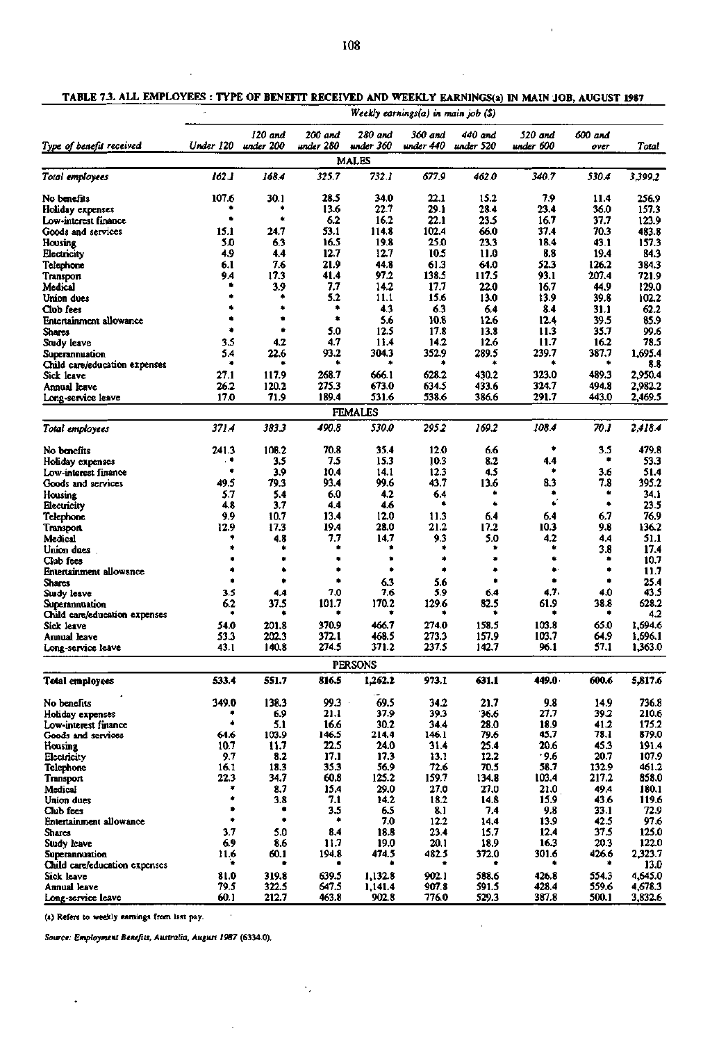$\bar{1}$ 

|  | TABLE 7.3. ALL EMPLOYEES : TYPE OF BENEFIT RECEIVED AND WEEKLY EARNINGS(a) IN MAIN JOB, AUGUST 1987 |
|--|-----------------------------------------------------------------------------------------------------|
|  |                                                                                                     |

 $\ddot{\phantom{a}}$ 

|                                                 |           | Weekly earnings(a) in main job (\$) |            |                           |              |              |              |              |               |
|-------------------------------------------------|-----------|-------------------------------------|------------|---------------------------|--------------|--------------|--------------|--------------|---------------|
|                                                 |           | 120 and                             | 200 and    | 280 and                   | 360 and      | 440 and      | 520 and      | 600 and      |               |
| Type of benefit received                        | Under 120 | under 200                           | under 280  | under 360<br><b>MALES</b> | under 440    | under 520    | under 600    | over         | Total         |
| Total employees                                 | 162.1     | 168.4                               | 325.7      | 732.1                     | 677.9        | 462.0        | 340.7        | 530.4        | 3,399.2       |
|                                                 |           |                                     |            |                           |              |              |              |              |               |
| No benefits                                     | 107.6     | 30.1                                | 28.5       | 34.0                      | 22.1         | 15.2         | 7.9          | 11.4         | 256.9         |
| Holiday expenses                                |           |                                     | 13.6       | 22.7                      | 29.1         | 28.4         | 23.4         | 36.0         | 157.3         |
| Low-interest finance                            | ۰         | ۰                                   | 6.2        | 16.2                      | 22.1         | 23.5         | 16.7         | 37.7         | 123.9         |
| Goods and services                              | 15.1      | 24.7                                | 53.1       | 114.8                     | 102.4        | 66.0         | 37.4         | 70.3         | 483.8         |
| Housing                                         | 5.0       | 63                                  | 16.5       | 19.8                      | 25.0         | 23.3         | 18.4         | 43.1         | 157.3         |
| Electricity                                     | 4.9       | 4.4                                 | 12.7       | 12.7                      | 10.5         | 11.0         | 8.8          | 19.4         | 84.3          |
| Telephone                                       | 6.1       | 7.6                                 | 21.9       | 44.8                      | 61.3         | 64.0         | 52.3         | 126.2        | 384.3         |
| Transport                                       | 9.4<br>ŧ  | 17.3                                | 41.4       | 97.2                      | 138.5        | 117.5        | 93.1         | 207.4        | 721.9         |
| Medical                                         |           | 3.9<br>۰                            | 7.7<br>5.2 | 14.2                      | 17.7<br>15.6 | 22.0         | 16.7         | 44.9         | 129.0         |
| Union dues                                      |           |                                     | ٠          | 11.1<br>4.3               | 6.3          | 13.0         | 13.9<br>8.4  | 39.8         | 102.2         |
| Club fees                                       | ۰         | ٠                                   | ٠          | 5.6                       | 10.8         | 6.4          |              | 31.1         | 62.2          |
| Entertainment allowance                         | ۰         | ۰                                   | 5.0        | 12.5                      | 17.8         | 12.6<br>13.8 | 12.4<br>11.3 | 39.5<br>35.7 | 85.9<br>99.6  |
| <b>Shares</b>                                   | 3.5       | 4.2                                 | 4.7        | 11.4                      | 14.2         | 12.6         | 11.7         | 16.2         | 78.5          |
| Study leave                                     | 5.4       | 22.6                                | 93.2       | 304.3                     | 352.9        | 289.5        | 239.7        | 387.7        | 1,695.4       |
| Superannuation<br>Child care/education expenses | ۰         |                                     | ٠          |                           | ۰            | ۰            | ۰            | ۰            | 8.8           |
| Sick leave                                      | 27.1      | 117.9                               | 268.7      | 666.1                     | 628.2        | 430.2        | 323.0        | 489.3        | 2,950.4       |
| Annual leave                                    | 26.2      | 120.2                               | 275.3      | 673.0                     | 634.5        | 433.6        | 324.7        | 494.8        | 2,982.2       |
| Long-service leave                              | 17.0      | 71.9                                | 189.4      | 531.6                     | 538.6        | 386.6        | 291.7        | 443.0        | 2,469.5       |
|                                                 |           |                                     |            |                           |              |              |              |              |               |
|                                                 |           |                                     |            | <b>FEMALES</b>            |              |              |              |              |               |
| Total employees                                 | 371.4     | 383.3                               | 490.8      | 530.0                     | 295.2        | 169.2        | 108.4        | 70.1         | 2.418.4       |
| No benefits                                     | 241.3     | 108.2                               | 70.8       | 35.4                      | 12.0         | 6.6          | ۰            | 3.5          | 479.8         |
| Holiday expenses                                | . .       | 3.5                                 | 7.5        | 15.3                      | 10.3         | 8.2          | 4.4          | ٠            | 53.3          |
| Low-interest finance                            |           | 3.9                                 | 10.4       | 14.1                      | 12.3         | 4.5          | ۰            | 3.6          | 51.4          |
| Goods and services                              | 49.5      | 79.3                                | 93.4       | 99.6                      | 43.7         | 13.6         | 8.3          | 7.8          | 395.2         |
| Housing                                         | 5.7       | 5.4                                 | 6.0        | 4.2                       | 6.4          |              | ۰            | ٠            | 34.1          |
| Electricity                                     | 4.8       | 3.7                                 | 4.4        | 4.6                       | ٠            | ٠            | ٠            | ۰            | 23.5          |
| Telephone                                       | 9.9       | 10.7                                | 13.4       | 12.0                      | 11.3         | 6.4          | 6.4          | 6.7          | 76.9          |
| Transport                                       | 12.9      | 17.3                                | 19.4       | 28.0                      | 21.2         | 17.2         | 10.3         | 9.8          | 136.2         |
| Medical                                         |           | 4.8                                 | 7.7        | 14.7                      | 9.3          | 5.0          | 4.2          | 4.4          | 51.1          |
| Union dues                                      |           |                                     |            |                           | ٠            | ٠            | ٠            | 3.8          | 17.4          |
| Club fees                                       |           |                                     |            | ۸                         | ۰            | ۰            | ٠            | ۰            | 10.7          |
| <b>Entertainment allowance</b>                  | ٠         | ٠                                   | ٠          | ۰                         | ۰            | ٠            | ۰            | ۰            | 11.7          |
| <b>Shares</b>                                   |           | ۰                                   | ń          | 6.3                       | 5.6          | ٠            | ۰            | ۰            | 25.4          |
| Study leave                                     | 3.5       | 4.4                                 | 7,0        | 7.6                       | 5.9          | 6.4          | 4.7.         | 4.0          | 43.5          |
| Superannuation                                  | 6.2       | 37.5                                | 101.7      | 170.2                     | 129.6        | 82.5         | 61.9         | 38.8         | 628.2         |
| Child care/education expenses                   |           |                                     |            |                           |              |              |              | ۰            | 4.2           |
| Sick leave                                      | 54.0      | 201.8                               | 370.9      | 466.7                     | 274.0        | 158.5        | 103.8        | 65.0         | 1,694.6       |
| Annual leave                                    | 53.3      | 202.3                               | 372.1      | 468.5                     | 273.3        | 157.9        | 103.7        | 64.9         | 1.696.1       |
| Long-service leave                              | 43.1      | 140.8                               | 274.5      | 371.2                     | 237.5        | 142.7        | 96.1         | 57.1         | 1,363.0       |
|                                                 |           |                                     |            | <b>PERSONS</b>            |              |              |              |              |               |
| <b>Total employees</b>                          | 533.4     | 551.7                               | 816.5      | 1,262.2                   | 973.1        | 631.1        | 449.0        | 600.6        | 5,817.6       |
| No benefits                                     | 349.0     | 138.3                               | $99.3 -$   | 69.5                      | 34.2         | 21.7         | 9.8          | 14.9         | 736.8         |
| Holiday expenses                                |           | 6.9                                 | 21.1       | 37.9                      | 39.3         | 36.6         | 27.7         | 39.2         | 210.6         |
| Low-interest finance                            | ۰         | 5.1                                 | 16.6       | 30.2                      | 34.4         | 28.0         | 18.9         | 41.2         | 175.2         |
| Goods and services                              | 64.6      | 103.9                               | 146.5      | 214.4                     | 146.1        | 79.6         | 45.7         | 78.1         | 879.0         |
| Housing                                         | 10.7      | 11.7                                | 22.5       | 24.0                      | 31.4         | 25.4         | 20.6         | 45.3         | 191.4         |
| Electricity                                     | 9.7       | 8.2                                 | 17.1       | 17.3                      | 13.1         | 12.2         | .9.6         | 20.7         | 107.9         |
| Telephone                                       | 16.1      | 18.3                                | 35.3       | 56.9                      | 72.6         | 70.5         | 58.7         | 132.9        | 461.2         |
| Transport                                       | 22.3      | 34.7                                | 60.8       | 125.2                     | 159.7        | 134.8        | 103.4        | 217.2        | 858.0         |
| Medical                                         | ۰<br>٠    | 8.7                                 | 15.4       | 29.0                      | 27.0         | 27.0         | 21.0         | 49.4         | 180.1         |
| Union dues                                      | ۰         | 3.8<br>۰                            | 7.1        | 14.2                      | 18.2         | 14.8         | 15.9         | 43.6         | 119.6         |
| Club fees                                       | ۰         | ۰                                   | 3.5<br>٠   | 6.5                       | 8.1          | 7.4          | 9.8          | 33.1         | 72.9          |
| Entertainment allowance                         | 3.7       |                                     | 8.4        | 7.0                       | 12.2<br>23.4 | 14.4         | 13.9<br>12.4 | 42.5<br>37.5 | 97.6<br>125.0 |
| <b>Shares</b><br>Study leave                    | 6.9       | 5.0<br>8.6                          | 11.7       | 18.8<br>19.0              | 20.1         | 15.7<br>18.9 | 16.3         | 20.3         | 122.0         |
| <b>Superannuation</b>                           | 11.6      | 60.1                                | 194.8      | 474.5                     | 482.5        | 372.0        | 301.6        | 426.6        | 2,323.7       |
| Child care/education expenses                   |           |                                     |            |                           |              |              |              |              | 13.0          |
| Sick leave                                      | 81.0      | 319.8                               | 639.5      | 1,132.8                   | 902.1        | 588.6        | 426.8        | 554.3        | 4,645.0       |
| Annual leave                                    | 79.5      | 322.5                               | 647.5      | 1,141.4                   | 907.8        | 591.5        | 428.4        | 559.6        | 4,678.3       |
| Long-service leave                              | 60.1      | 212.7                               | 463.8      | 902.8                     | 776.0        | 529.3        | 387.8        | 500.1        | 3,832.6       |

 $\alpha$ 

**(a) Refers to weekly earnings from last pay.** 

 $\ddot{\phantom{0}}$ 

*Source: Employment Benefits, Australia, August 1987* **(6334.0).** 

 $\hat{\boldsymbol{\beta}}$ 

 $\cdot$ 

 $\ddot{\phantom{a}}$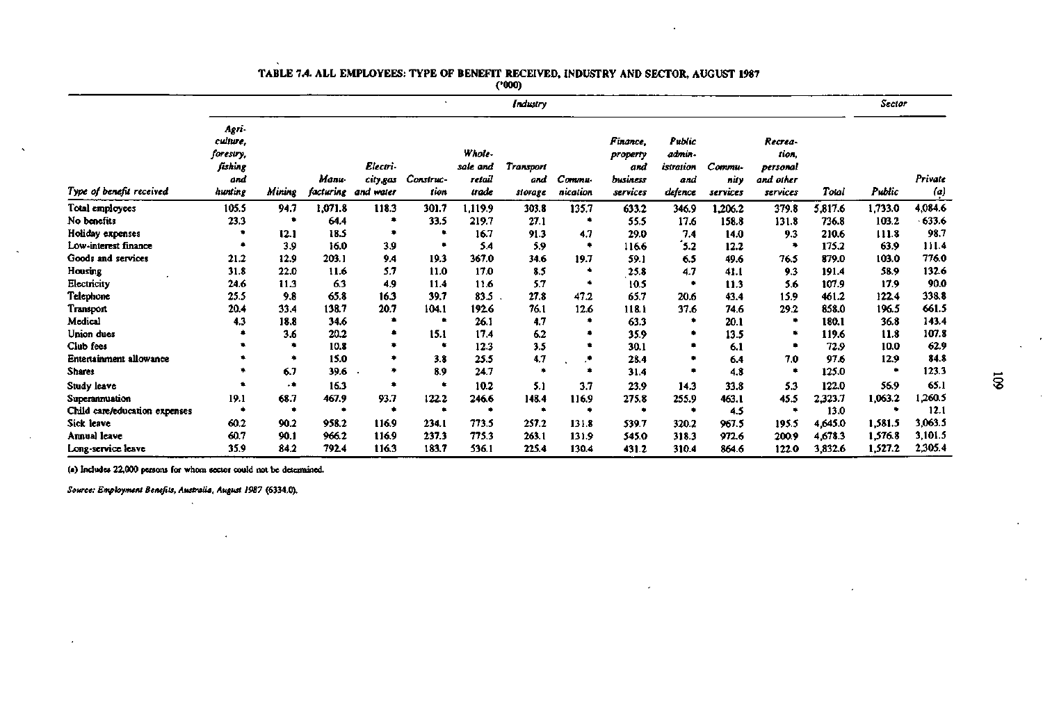|                               |                                                             |        |                    |                                   |                   |                                       | Industry                           |                    |                                                     |                                                 |                            |                                                       |         | Sector  |                              |
|-------------------------------|-------------------------------------------------------------|--------|--------------------|-----------------------------------|-------------------|---------------------------------------|------------------------------------|--------------------|-----------------------------------------------------|-------------------------------------------------|----------------------------|-------------------------------------------------------|---------|---------|------------------------------|
| Type of benefit received      | Agri-<br>culture,<br>forestry,<br>fishing<br>ond<br>hunting | Mining | Мали-<br>facturing | Electri-<br>city.gas<br>and water | Construc-<br>tion | Whole-<br>sale and<br>retail<br>trade | <b>Transport</b><br>and<br>storage | Commu-<br>nication | Finance.<br>property<br>and<br>business<br>services | Public<br>admin-<br>istration<br>and<br>defence | Commu-<br>nity<br>services | Recrea-<br>tion.<br>personal<br>and other<br>services | Total   | Public  | Private<br>$\left( a\right)$ |
| Total employees               | 105.5                                                       | 94.7   | 1,071.8            | 118.3                             | 301.7             | l.119.9                               | 303.8                              | 135.7              | 633.2                                               | 346.9                                           | 1,206.2                    | 379.8                                                 | 5,817.6 | 1,733.0 | 4,084.6                      |
| No benefits                   | 23.3                                                        | ۰      | 64.4               | ۰                                 | 33.5              | 219.7                                 | 27.1                               |                    | 55.5                                                | 17.6                                            | 158.8                      | 131.8                                                 | 736.8   | 103.2   | $-633.6$                     |
| Holiday expenses              |                                                             | 12.1   | 18.5               | ۰                                 |                   | 16.7                                  | 91.3                               | 4.7                | 29.0                                                | 7.4                                             | 14.0                       | 9.3                                                   | 210.6   | 111.8   | 98.7                         |
| Low-interest finance          | ٠                                                           | 3.9    | 16.0               | 3.9                               |                   | 5.4                                   | 5.9                                |                    | 1166                                                | $3.2$                                           | 12.2                       |                                                       | 175.2   | 63.9    | 111.4                        |
| Goods and services            | 21.2                                                        | 12.9   | 203.1              | 9.4                               | 19.3              | 367.0                                 | 34.6                               | 19.7               | 59.1                                                | 6.5                                             | 49.6                       | 76.5                                                  | 879.0   | 103.0   | 776.0                        |
| Housing                       | 31.8                                                        | 22.0   | 11.6               | 5.7                               | 11.0              | 17.0                                  | 8.5                                |                    | 25.8                                                | 4.7                                             | 41.1                       | 9.3                                                   | 191.4   | 58.9    | 132.6                        |
| Electricity                   | 24.6                                                        | 11.3   | 63                 | 4.9                               | 11.4              | 11.6                                  | 5.7                                |                    | 10.5                                                |                                                 | 11.3                       | 5.6                                                   | 107.9   | 17.9    | 90.0                         |
| Telephone                     | 25.5                                                        | 9.8    | 65.8               | 16.3                              | 39.7              | 83.5                                  | 27.8                               | 47.2               | 65.7                                                | 20.6                                            | 43.4                       | 15.9                                                  | 461.2   | 122.4   | 338.8                        |
| Transport                     | 20.4                                                        | 33.4   | 138.7              | 20.7                              | 104.1             | 192.6                                 | 76.1                               | 12.6               | 118.1                                               | 37.6                                            | 74.6                       | 29.2                                                  | 858.0   | 196.5   | 661.5                        |
| Medical                       | 4.3                                                         | 18.8   | 34.6               | ٠                                 |                   | 26.1                                  | 4.7                                |                    | 63.3                                                | ۰                                               | 20.1                       |                                                       | 180.1   | 36.8    | 143.4                        |
| Union dues                    |                                                             | 3.6    | 20.2               | ٠                                 | 15.1              | 17.4                                  | 6.2                                |                    | 35.9                                                |                                                 | 13.5                       |                                                       | 119.6   | 11.8    | 107.8                        |
| Club fees                     |                                                             | ۰      | 10.8               | ٠                                 |                   | 12.3                                  | 3.5                                |                    | 30.1                                                |                                                 | 6.1                        |                                                       | 72.9    | 10.0    | 62.9                         |
| Entertainment allowance       |                                                             | ۰      | 15.0               | ۰                                 | 3.8               | 25.5                                  | 4.7                                | . е.               | 28.4                                                |                                                 | 6.4                        | 7.0                                                   | 97.6    | 12.9    | 84.8                         |
| <b>Shares</b>                 |                                                             | 6.7    | 39.6               | ٠                                 | 8.9               | 24.7                                  |                                    | $\bullet$          | 31.4                                                |                                                 | 4.8                        |                                                       | 125.0   | ٠       | 123.3                        |
| Study leave                   |                                                             | ۰٠     | 16.3               | ۰                                 |                   | 10.2                                  | 5.1                                | 3.7                | 23.9                                                | 14.3                                            | 33.8                       | 5.3                                                   | 122.0   | 56.9    | 65.1                         |
| Superannuation                | 19.1                                                        | 68.7   | 467.9              | 93.7                              | 122.2             | 246.6                                 | 148.4                              | 116.9              | 275.8                                               | 255.9                                           | 463.1                      | 45.5                                                  | 2,323.7 | 1,063.2 | 1,260.5                      |
| Child care/education expenses |                                                             | ۰      | ٠                  | ۰                                 |                   | ۰                                     | ٠                                  |                    |                                                     |                                                 | 4.5                        |                                                       | 13.0    |         | 12.1                         |
| Sick leave                    | 60.2                                                        | 90.2   | 958.2              | 116.9                             | 234.1             | 773.5                                 | 257.2                              | 131.8              | 539.7                                               | 320.2                                           | 967.5                      | 195.5                                                 | 4,645.0 | 1,581.5 | 3,063.5                      |
| Annual leave                  | 60.7                                                        | 90.1   | 966.2              | 116.9                             | 237.3             | 775.3                                 | 263.1                              | 131.9              | 545.0                                               | 318.3                                           | 972.6                      | 200.9                                                 | 4,678.3 | 1,576.8 | 3,101.5                      |
| Long-service leave            | 35.9                                                        | 84.2   | 792.4              | 116.3                             | 183.7             | 536.1                                 | 225.4                              | 130.4              | 431.2                                               | 310.4                                           | 864.6                      | 122.0                                                 | 3,832.6 | 1,527.2 | 2,305.4                      |

v.

## **TABLE 7.4. ALL** EMPLOYEES: TYPE OF BENEFIT RECEIVED, INDUSTRY AND SECTOR, AUGUST **1987**

**(•000)** 

(a) Includes 22,000 persons for whom sector could not be determined.

*Source: Employment Benefits, Australia, August 1987* **(6334.0).**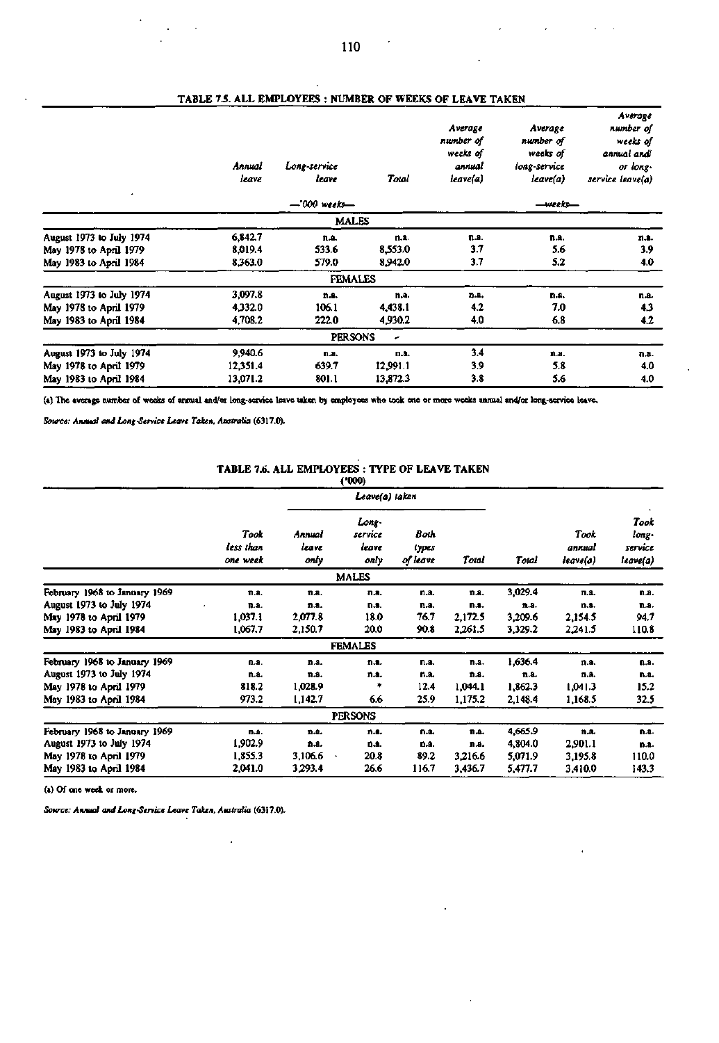| Annual<br>leave | Long-service<br>leave | Total    | Average<br>number of<br>weeks of<br>annual<br>leave(a) | Average<br>number of<br>weeks of<br>long-service<br>leave(a) | Average<br>number of<br>weeks of<br>annual andi<br>or long.<br>service leave(a) |
|-----------------|-----------------------|----------|--------------------------------------------------------|--------------------------------------------------------------|---------------------------------------------------------------------------------|
|                 | $-000$ weeks-         |          |                                                        | —weeks—                                                      |                                                                                 |
|                 |                       |          |                                                        |                                                              |                                                                                 |
| 6,842.7         | n.a.                  | n.a.     | n.a.                                                   | n.a.                                                         | n.1.                                                                            |
| 8,019.4         | 533.6                 | 8,553.0  | 37                                                     | 5.6                                                          | 3.9                                                                             |
| 8,363.0         | 579.0                 | 8,942.0  | 3.7                                                    | 5.2                                                          | 4.0                                                                             |
|                 |                       |          |                                                        |                                                              |                                                                                 |
| 3,097.8         | n.a.                  | n.a.     | n.a.                                                   | n.a.                                                         | n.a.                                                                            |
| 4,332.0         | 106.1                 | 4,438.1  | 4.2                                                    | 7.0                                                          | 4.3                                                                             |
| 4,708.2         | 222.0                 | 4,930.2  | 4.0                                                    | 6.8                                                          | 4.2                                                                             |
|                 |                       | ٠        |                                                        |                                                              |                                                                                 |
| 9,940.6         | n.a.                  | n.a.     | 3.4                                                    | n.a.                                                         | n.a.                                                                            |
| 12,351.4        | 639.7                 | 12,991.1 | 3.9                                                    | 5.8                                                          | 4.0                                                                             |
| 13,071.2        | 801.1                 | 13,872.3 | 3.8                                                    | 5.6                                                          | 4.0                                                                             |
|                 |                       |          | <b>MALES</b><br><b>FEMALES</b><br><b>PERSONS</b>       |                                                              |                                                                                 |

### **TABLE 7.5. ALL EMPLOYEES : NUMBER OF WEEKS OF LEAVE TAKEN**

**(a) The average number of weeks of annual and/or long-service leave taken by employees who took one or more weeks annual and/or long-service leave.** 

*Source: Annual and Long-Senice Leave Taken, Australia* **(6317.0).** 

### **TABLE 7.6. ALL EMPLOYEES : TYPE OF LEAVE TAKEN**

|                                                                                                                                                                                                                                |                                                                        |                                                                          | (000)                                                                      |                                                              |                                                                           |                                                                                |                                                                          |                                                               |
|--------------------------------------------------------------------------------------------------------------------------------------------------------------------------------------------------------------------------------|------------------------------------------------------------------------|--------------------------------------------------------------------------|----------------------------------------------------------------------------|--------------------------------------------------------------|---------------------------------------------------------------------------|--------------------------------------------------------------------------------|--------------------------------------------------------------------------|---------------------------------------------------------------|
|                                                                                                                                                                                                                                |                                                                        |                                                                          | Leave(a) taken                                                             |                                                              |                                                                           | Total                                                                          | Took<br>annual<br>leave(a)                                               | Took<br>long.<br>service<br>leave(a)                          |
|                                                                                                                                                                                                                                | Took<br>less than<br>one week                                          | Annual<br>leave<br>only                                                  | Long-<br>service<br>leave<br>only                                          | Both<br>types<br>of leave                                    | Total                                                                     |                                                                                |                                                                          |                                                               |
|                                                                                                                                                                                                                                |                                                                        |                                                                          | <b>MALES</b>                                                               |                                                              |                                                                           |                                                                                |                                                                          |                                                               |
| February 1968 to January 1969<br>August 1973 to July 1974<br>May 1978 to April 1979<br>May 1983 to April 1984<br>February 1968 to January 1969<br>August 1973 to July 1974<br>May 1978 to April 1979<br>May 1983 to April 1984 | $n.a.$<br>n.a.<br>1,037.1<br>1,067.7<br>n.a.<br>n.a.<br>818.2<br>973.2 | n.a.<br>n.a.<br>2,077.8<br>2,150.7<br>n.a.<br>n.s.<br>1,028.9<br>1,142.7 | n.a.<br>n.a.<br>18.0<br>20.0<br><b>FEMALES</b><br>n.a.<br>n.a.<br>۰<br>6.6 | n.a.<br>n.a.<br>76.7<br>90.8<br>n.a.<br>n.a.<br>12.4<br>25.9 | 11.8.<br>п.а.<br>2,172.5<br>2,261.5<br>n.a.<br>n.a.<br>1.044.1<br>1,175.2 | 3,029.4<br>n.a.<br>3,209.6<br>3,329.2<br>1,636.4<br>n.a.<br>1,862.3<br>2,148.4 | n.a.<br>n.a.<br>2,154.5<br>2,241.5<br>n.a.<br>n.a.<br>1,041.3<br>1,168.5 | n.a.<br>n.a.<br>94.7<br>110.8<br>n.a.<br>n.a.<br>15.2<br>32.5 |
|                                                                                                                                                                                                                                |                                                                        |                                                                          | <b>PERSONS</b>                                                             |                                                              |                                                                           |                                                                                |                                                                          |                                                               |
| February 1968 to January 1969<br>August 1973 to July 1974<br>May 1978 to April 1979<br>May 1983 to April 1984                                                                                                                  | n.a.<br>1,902.9<br>1,855.3<br>2,041.0                                  | n.a.<br>n.a.<br>3,106.6<br>٠<br>3,293.4                                  | n.a.<br><b>D.A.</b><br>20.8<br>26.6                                        | n.a.<br>D.8.<br>89.2<br>116.7                                | n.a.<br>n.a.<br>3,216.6<br>3,436.7                                        | 4,665.9<br>4,804.0<br>5,071.9<br>5,477.7                                       | n.a.<br>2,901.1<br>3,195.8<br>3,410.0                                    | n.a.<br>n.a.<br>110.0<br>143.3                                |

**(a) Of one week or more.** 

*Source: Annual and Long-Service Leave Taken, Australia* **(6317.0).** 

 $\hat{\mathbf{r}}$